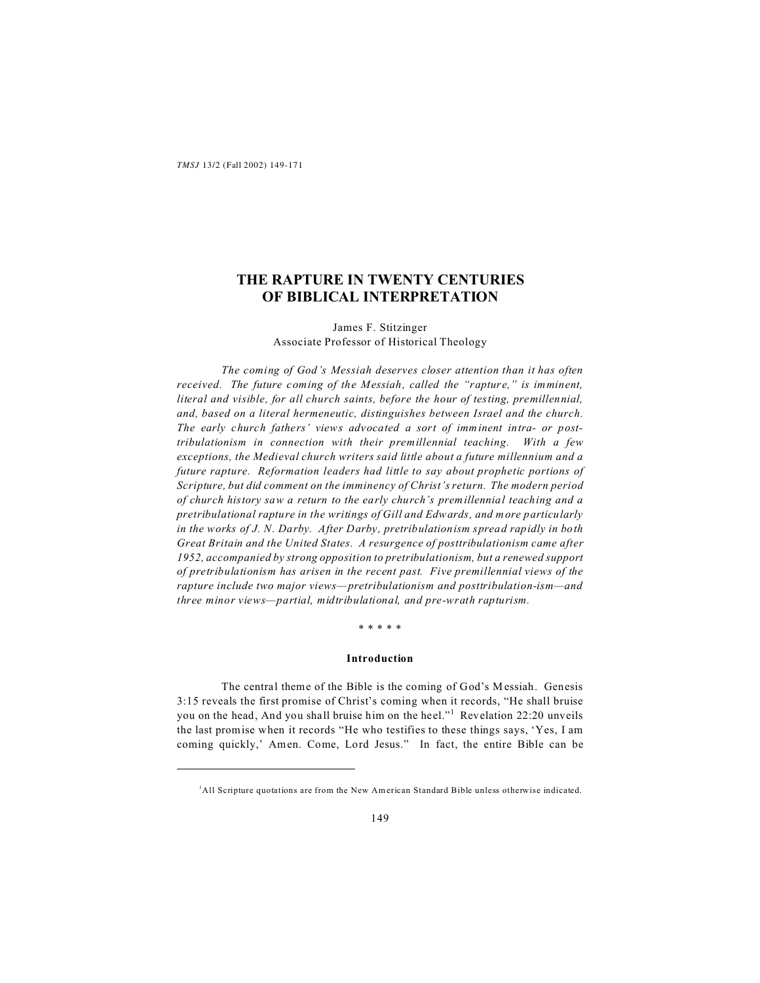# **THE RAPTURE IN TWENTY CENTURIES OF BIBLICAL INTERPRETATION**

### James F. Stitzinger Associate Professor of Historical Theology

*The coming of God's Messiah deserves closer attention than it has often received. The future coming of the Messiah, called the "rapture," is imminent, literal and visible, for all church saints, before the hour of testing, premillennial, and, based on a literal hermeneutic, distinguishes between Israel and the church. The early church fathers' views advocated a sort of imminent intra- or posttribulationism in connection with their premillennial teaching. With a few exceptions, the Medieval church writers said little about a future millennium and a future rapture. Reformation leaders had little to say about prophetic portions of Scripture, but did comment on the imminency of Christ's return. The modern period of church history saw a return to the early church's premillennial teaching and a pretribulational rapture in the writings of Gill and Edwards, and more particularly in the works of J. N. Darby. After Darby, pretribulationism spread rapidly in both Great Britain and the United States. A resurgence of posttribulationism came after 1952, accompanied by strong opposition to pretribulationism, but a renewed support of pretribulationism has arisen in the recent past. Five premillennial views of the rapture include two major views—pretribulationism and posttribulation-ism—and three minor views—partial, midtribulational, and pre-wrath rapturism.*

### \* \* \* \* \*

### **Introduction**

The central theme of the Bible is the coming of God's Messiah. Genesis 3:15 reveals the first promise of Christ's coming when it records, "He shall bruise you on the head, And you shall bruise him on the heel."<sup>1</sup> Revelation 22:20 unveils the last promise when it records "He who testifies to these things says, 'Yes, I am coming quickly,' Amen. Come, Lord Jesus." In fact, the entire Bible can be

<sup>1</sup>All Scripture quotations are from the New American Standard Bible unless otherwise indicated.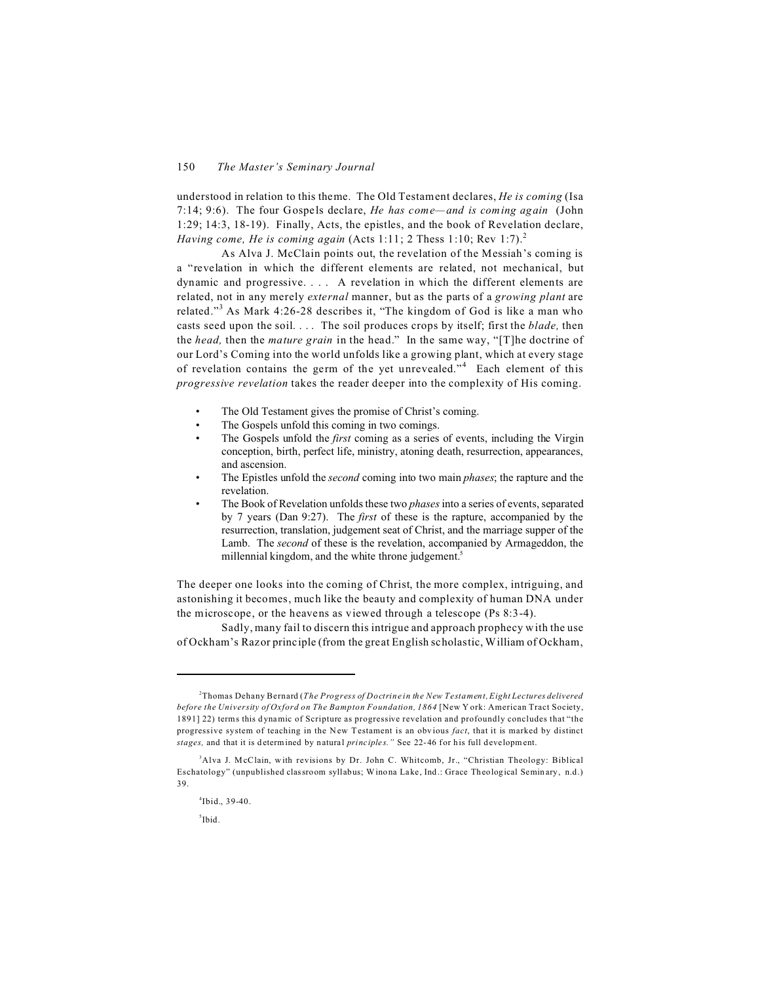understood in relation to this theme. The Old Testament declares, *He is coming* (Isa 7:14; 9:6). The four Gospels declare, *He has come—and is coming again* (John 1:29; 14:3, 18-19). Finally, Acts, the epistles, and the book of Revelation declare, *Having come, He is coming again* (Acts 1:11; 2 Thess 1:10; Rev 1:7).<sup>2</sup>

As Alva J. McClain points out, the revelation of the Messiah's coming is a "revelation in which the different elements are related, not mechanical, but dynamic and progressive. . . . A revelation in which the different elements are related, not in any merely *external* manner, but as the parts of a *growing plant* are related."<sup>3</sup> As Mark 4:26-28 describes it, "The kingdom of God is like a man who casts seed upon the soil. . . . The soil produces crops by itself; first the *blade,* then the *head,* then the *mature grain* in the head." In the same way, "[T]he doctrine of our Lord's Coming into the world unfolds like a growing plant, which at every stage of revelation contains the germ of the yet unrevealed."<sup>4</sup> Each element of this *progressive revelation* takes the reader deeper into the complexity of His coming.

- The Old Testament gives the promise of Christ's coming.
- The Gospels unfold this coming in two comings.
- The Gospels unfold the *first* coming as a series of events, including the Virgin conception, birth, perfect life, ministry, atoning death, resurrection, appearances, and ascension.
- The Epistles unfold the *second* coming into two main *phases*; the rapture and the revelation.
- The Book of Revelation unfolds these two *phases* into a series of events, separated by 7 years (Dan 9:27). The *first* of these is the rapture, accompanied by the resurrection, translation, judgement seat of Christ, and the marriage supper of the Lamb. The *second* of these is the revelation, accompanied by Armageddon, the millennial kingdom, and the white throne judgement.<sup>5</sup>

The deeper one looks into the coming of Christ, the more complex, intriguing, and astonishing it becomes, much like the beauty and complexity of human DNA under the microscope, or the heavens as viewed through a telescope (Ps 8:3-4).

Sadly, many fail to discern this intrigue and approach prophecy with the use of Ockham's Razor principle (from the great English scholastic, William of Ockham,

5 Ibid*.*

<sup>2</sup>Thomas Dehany Bernard (*The Progress of Doctrine in the New Testament, Eight Lectures delivered before the University of Oxford on The Bampton Foundation, 1864* [New Y ork: American Tract Society, 1891] 22) terms this d ynamic of Scripture as progressive revelation and profoundly concludes that "the progressive system of teaching in the New Testament is an obvious *fact*, that it is marked by distinct *stages,* and that it is determined by natural *principles.*" See 22-46 for his full development.

<sup>&</sup>lt;sup>3</sup>Alva J. McClain, with revisions by Dr. John C. Whitcomb, Jr., "Christian Theology: Biblical Eschatology" (unpublished classroom syllabus; Winona Lake, Ind.: Grace Theological Seminary, n.d.) 39.

<sup>4</sup> Ibid., 39-40.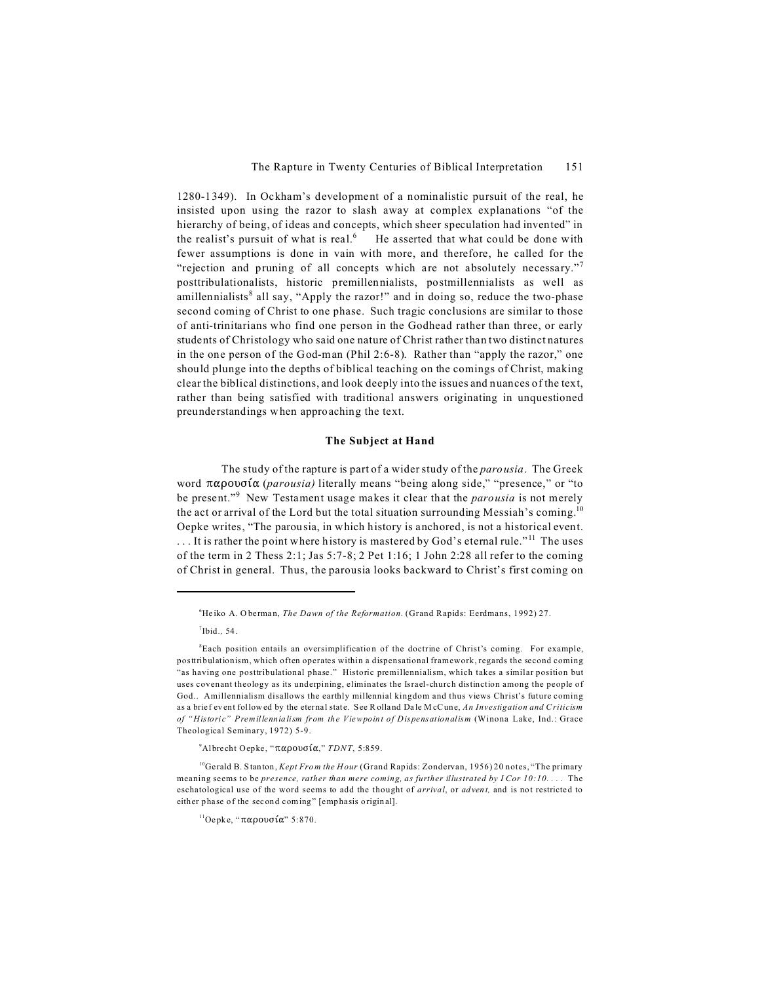1280-1349). In Ockham's development of a nominalistic pursuit of the real, he insisted upon using the razor to slash away at complex explanations "of the hierarchy of being, of ideas and concepts, which sheer speculation had invented" in the realist's pursuit of what is real.<sup>6</sup> He asserted that what could be done with fewer assumptions is done in vain with more, and therefore, he called for the "rejection and pruning of all concepts which are not absolutely necessary." posttribulationalists, historic premillennialists, postmillennialists as well as amillennialists<sup>8</sup> all say, "Apply the razor!" and in doing so, reduce the two-phase second coming of Christ to one phase. Such tragic conclusions are similar to those of anti-trinitarians who find one person in the Godhead rather than three, or early students of Christology who said one nature of Christ rather than two distinct natures in the one person of the God-man (Phil 2:6-8). Rather than "apply the razor," one should plunge into the depths of biblical teaching on the comings of Christ, making clear the biblical distinctions, and look deeply into the issues and nuances of the text, rather than being satisfied with traditional answers originating in unquestioned preunderstandings when approaching the text.

### The Subject at Hand

The study of the rapture is part of a wider study of the *parousia*. The Greek word  $\pi \alpha \rho$ ovo $\alpha$  (parousia) literally means "being along side," "presence," or "to be present."<sup>9</sup> New Testament usage makes it clear that the *parousia* is not merely the act or arrival of the Lord but the total situation surrounding Messiah's coming.<sup>10</sup> Oepke writes, "The parousia, in which history is anchored, is not a historical event. ... It is rather the point where history is mastered by God's eternal rule."<sup>11</sup> The uses of the term in 2 Thess 2:1; Jas  $5:7-8$ ; 2 Pet 1:16; 1 John 2:28 all refer to the coming of Christ in general. Thus, the parousia looks backward to Christ's first coming on

<sup>9</sup>Albrecht Oepke, " $\pi \alpha \rho$ ovoí $\alpha$ ," *TDNT*, 5:859.

<sup>&</sup>lt;sup>6</sup>Heiko A. Oberman, The Dawn of the Reformation. (Grand Rapids: Eerdmans, 1992) 27.

 $7$ Ibid. $54$ .

<sup>&</sup>lt;sup>8</sup>Each position entails an oversimplification of the doctrine of Christ's coming. For example, posttribulationism, which often operates within a dispensational framework, regards the second coming "as having one posttribulational phase." Historic premillennialism, which takes a similar position but uses covenant theology as its underpining, eliminates the Israel-church distinction among the people of God.. Amillennialism disallows the earthly millennial kingdom and thus views Christ's future coming as a brief event followed by the eternal state. See Rolland Dale McCune, An Investigation and Criticism of "Historic" Premillennialism from the Viewpoint of Dispensationalism (Winona Lake, Ind.: Grace Theological Seminary, 1972) 5-9.

<sup>&</sup>lt;sup>10</sup>Gerald B. Stanton, Kept From the Hour (Grand Rapids: Zondervan, 1956) 20 notes, "The primary meaning seems to be presence, rather than mere coming, as further illustrated by I Cor 10:10.... The eschatological use of the word seems to add the thought of arrival, or advent, and is not restricted to either phase of the second coming" [emphasis original].

<sup>&</sup>lt;sup>11</sup>Oepke, "παρουσία" 5:870.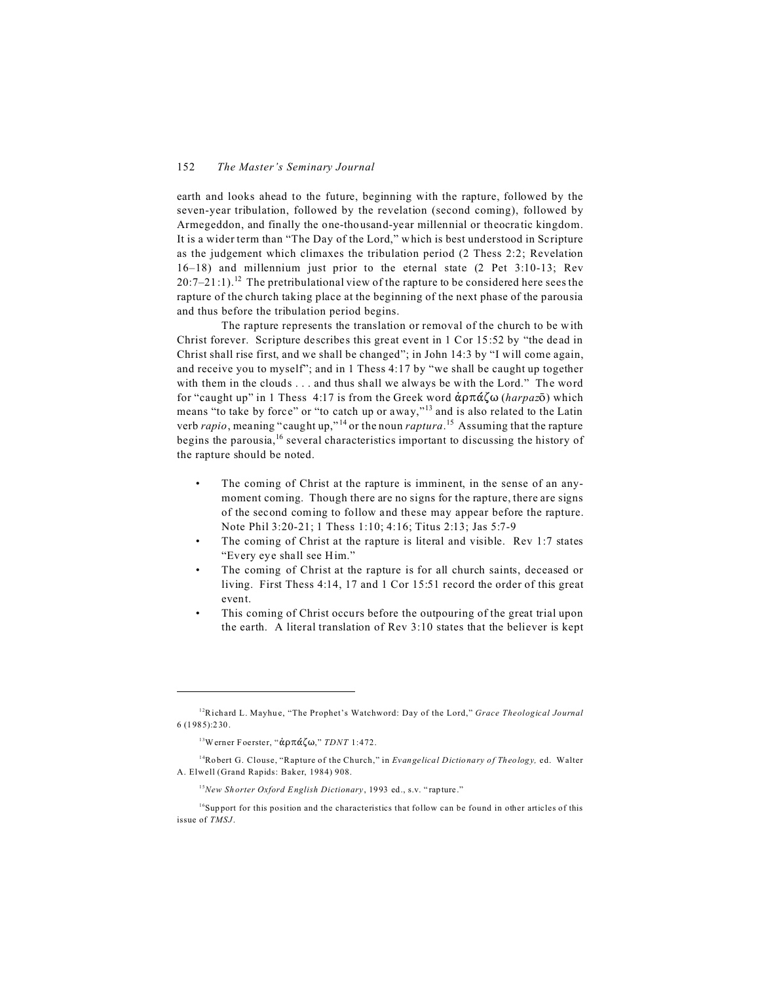earth and looks ahead to the future, beginning with the rapture, followed by the seven-year tribulation, followed by the revelation (second coming), followed by Armegeddon, and finally the one-thousand-year millennial or theocratic kingdom. It is a wider term than "The Day of the Lord," which is best understood in Scripture as the judgement which climaxes the tribulation period (2 Thess 2:2; Revelation 16–18) and millennium just prior to the eternal state (2 Pet 3:10-13; Rev  $20:7-21:1$ .<sup>12</sup> The pretribulational view of the rapture to be considered here sees the rapture of the church taking place at the beginning of the next phase of the parousia and thus before the tribulation period begins.

The rapture represents the translation or removal of the church to be with Christ forever. Scripture describes this great event in 1 Cor 15:52 by "the dead in Christ shall rise first, and we shall be changed"; in John 14:3 by "I will come again, and receive you to myself"; and in 1 Thess 4:17 by "we shall be caught up together with them in the clouds . . . and thus shall we always be with the Lord." The word for "caught up" in 1 Thess 4:17 is from the Greek word  $\dot{\alpha}$  $\beta \pi \dot{\alpha} \dot{\zeta} \omega$  (*harpaz* $\bar{\delta}$ ) which means "to take by force" or "to catch up or away,"<sup>13</sup> and is also related to the Latin verb *rapio*, meaning "caught up," <sup>14</sup> or the noun *raptura*. <sup>15</sup> Assuming that the rapture begins the parousia,<sup>16</sup> several characteristics important to discussing the history of the rapture should be noted.

- The coming of Christ at the rapture is imminent, in the sense of an anymoment coming. Though there are no signs for the rapture, there are signs of the second coming to follow and these may appear before the rapture. Note Phil 3:20-21; 1 Thess 1:10; 4:16; Titus 2:13; Jas 5:7-9
- The coming of Christ at the rapture is literal and visible. Rev 1:7 states "Every eye shall see Him."
- The coming of Christ at the rapture is for all church saints, deceased or living. First Thess 4:14, 17 and 1 Cor 15:51 record the order of this great event.
- This coming of Christ occurs before the outpouring of the great trial upon the earth. A literal translation of Rev 3:10 states that the believer is kept

<sup>12</sup>Richard L. Mayhu e, "The Prophet's Watchword: Day of the Lord," *Grace Theological Journal* 6 (1 985):2 30.

<sup>&</sup>lt;sup>13</sup>Werner Foerster, "άρπάζω," *TDNT* 1:472.

<sup>14</sup>Ro bert G. Clouse, "Rapture of the Church," in *Evangelical Dictio nary o f Th eolog y,* ed. Walter A. Elwell (Grand Rapids: Baker, 1984) 908.

<sup>15</sup>*New Sh orter Oxford English Dictionary*, 1993 ed., s.v. " rapture ."

 $16$ Support for this position and the characteristics that follow can be found in other articles of this issue of *TMSJ* .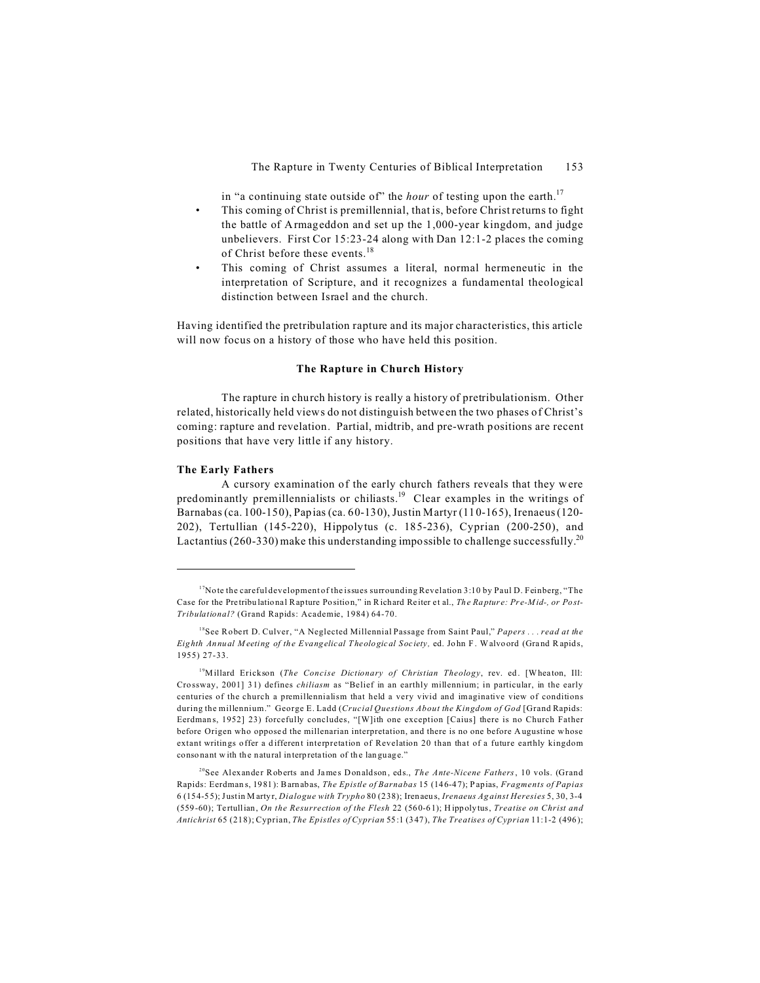in "a continuing state outside of" the hour of testing upon the earth.<sup>17</sup>

- This coming of Christ is premillennial, that is, before Christ returns to fight the battle of Armageddon and set up the 1,000-year kingdom, and judge unbelievers. First Cor 15:23-24 along with Dan 12:1-2 places the coming of Christ before these events.<sup>18</sup>
- This coming of Christ assumes a literal, normal hermeneutic in the interpretation of Scripture, and it recognizes a fundamental theological distinction between Israel and the church.

Having identified the pretribulation rapture and its major characteristics, this article will now focus on a history of those who have held this position.

### The Rapture in Church History

The rapture in church history is really a history of pretribulationism. Other related, historically held views do not distinguish between the two phases of Christ's coming: rapture and revelation. Partial, midtrib, and pre-wrath positions are recent positions that have very little if any history.

### The Early Fathers

A cursory examination of the early church fathers reveals that they were predominantly premillennialists or chiliasts.<sup>19</sup> Clear examples in the writings of Barnabas (ca. 100-150), Papias (ca. 60-130), Justin Martyr (110-165), Irenaeus (120-202), Tertullian (145-220), Hippolytus (c. 185-236), Cyprian (200-250), and Lactantius (260-330) make this understanding impossible to challenge successfully.<sup>20</sup>

 $17$ Note the careful development of the issues surrounding Revelation 3:10 by Paul D. Feinberg, "The Case for the Pretribulational Rapture Position," in Richard Reiter et al., The Rapture: Pre-Mid-, or Post-Tribulational? (Grand Rapids: Academie, 1984) 64-70.

<sup>&</sup>lt;sup>18</sup>See Robert D. Culver, "A Neglected Millennial Passage from Saint Paul," Papers ... read at the Eighth Annual Meeting of the Evangelical Theological Society, ed. John F. Walvoord (Grand Rapids, 1955) 27-33.

<sup>&</sup>lt;sup>19</sup>Millard Erickson (The Concise Dictionary of Christian Theology, rev. ed. [Wheaton, Ill: Crossway, 2001] 31) defines *chiliasm* as "Belief in an earthly millennium; in particular, in the early centuries of the church a premillennialism that held a very vivid and imaginative view of conditions during the millennium." George E. Ladd (Crucial Questions About the Kingdom of God [Grand Rapids: Eerdmans, 1952] 23) forcefully concludes, "[W]ith one exception [Caius] there is no Church Father before Origen who opposed the millenarian interpretation, and there is no one before Augustine whose extant writings offer a different interpretation of Revelation 20 than that of a future earthly kingdom consonant with the natural interpretation of the language."

<sup>&</sup>lt;sup>20</sup>See Alexander Roberts and James Donaldson, eds., *The Ante-Nicene Fathers*, 10 vols. (Grand Rapids: Eerdmans, 1981): Barnabas, The Epistle of Barnabas 15 (146-47); Papias, Fragments of Papias 6 (154-55); Justin Martyr, *Dialogue with Trypho* 80 (238); Irenaeus, *Irenaeus Against Heresies* 5, 30, 3-4 (559-60); Tertullian, On the Resurrection of the Flesh 22 (560-61); Hippolytus, Treatise on Christ and Antichrist 65 (218); Cyprian, The Epistles of Cyprian 55:1 (347), The Treatises of Cyprian 11:1-2 (496);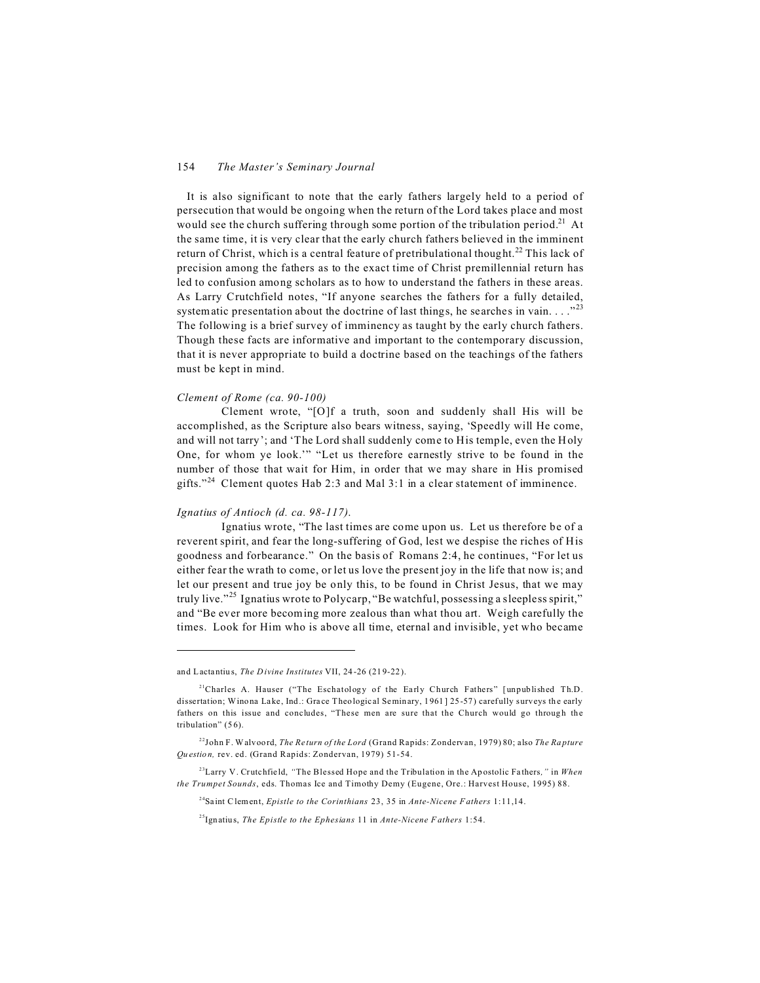It is also significant to note that the early fathers largely held to a period of persecution that would be ongoing when the return of the Lord takes place and most would see the church suffering through some portion of the tribulation period.<sup>21</sup> At the same time, it is very clear that the early church fathers believed in the imminent return of Christ, which is a central feature of pretribulational thought.<sup>22</sup> This lack of precision among the fathers as to the exact time of Christ premillennial return has led to confusion among scholars as to how to understand the fathers in these areas. As Larry Crutchfield notes, "If anyone searches the fathers for a fully detailed, systematic presentation about the doctrine of last things, he searches in vain...."<sup>23</sup> The following is a brief survey of imminency as taught by the early church fathers. Though these facts are informative and important to the contemporary discussion, that it is never appropriate to build a doctrine based on the teachings of the fathers must be kept in mind.

#### Clement of Rome (ca. 90-100)

Clement wrote, "[O]f a truth, soon and suddenly shall His will be accomplished, as the Scripture also bears witness, saying, 'Speedly will He come, and will not tarry'; and 'The Lord shall suddenly come to His temple, even the Holy One, for whom ye look." "Let us therefore earnestly strive to be found in the number of those that wait for Him, in order that we may share in His promised gifts."<sup>24</sup> Clement quotes Hab 2:3 and Mal 3:1 in a clear statement of imminence.

### Ignatius of Antioch (d. ca. 98-117).

Ignatius wrote, "The last times are come upon us. Let us therefore be of a reverent spirit, and fear the long-suffering of God, lest we despise the riches of His goodness and forbearance." On the basis of Romans 2:4, he continues, "For let us either fear the wrath to come, or let us love the present joy in the life that now is; and let our present and true joy be only this, to be found in Christ Jesus, that we may truly live."<sup>25</sup> Ignatius wrote to Polycarp, "Be watchful, possessing a sleepless spirit," and "Be ever more becoming more zealous than what thou art. Weigh carefully the times. Look for Him who is above all time, eternal and invisible, yet who became

and Lactantius, The Divine Institutes VII, 24-26 (219-22).

<sup>&</sup>lt;sup>21</sup>Charles A. Hauser ("The Eschatology of the Early Church Fathers" [unpublished Th.D. dissertation; Winona Lake, Ind.: Grace Theological Seminary, 1961125-57) carefully surveys the early fathers on this issue and concludes, "These men are sure that the Church would go through the tribulation" (56).

 $^{22}$ John F. Walvoord, *The Return of the Lord* (Grand Rapids: Zondervan, 1979) 80; also *The Rapture* Ouestion, rev. ed. (Grand Rapids: Zondervan, 1979) 51-54.

<sup>&</sup>lt;sup>23</sup>Larry V. Crutchfield, "The Blessed Hope and the Tribulation in the Apostolic Fathers," in When the Trumpet Sounds, eds. Thomas Ice and Timothy Demy (Eugene, Ore.: Harvest House, 1995) 88.

<sup>&</sup>lt;sup>24</sup>Saint Clement, *Epistle to the Corinthians* 23, 35 in *Ante-Nicene Fathers* 1:11,14.

<sup>&</sup>lt;sup>25</sup>Ignatius, The Epistle to the Ephesians 11 in Ante-Nicene Fathers 1:54.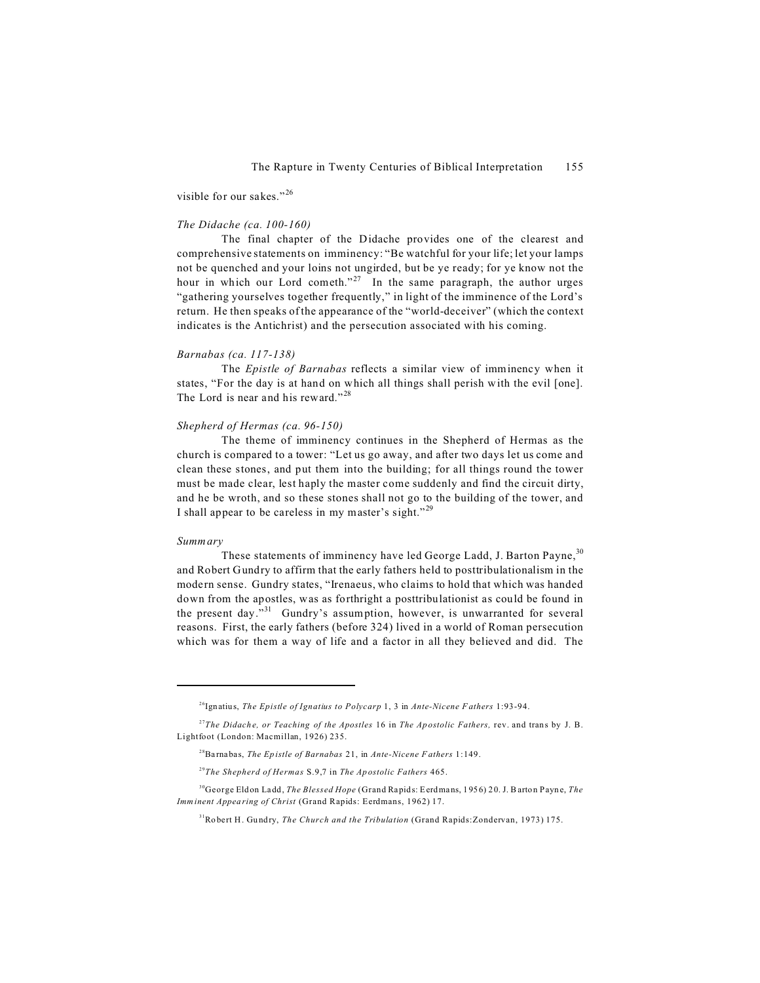visible for our sakes."<sup>26</sup>

#### *The Didache (ca. 100-160)*

The final chapter of the Didache provides one of the clearest and comprehensive statements on imminency: "Be watchful for your life; let your lamps not be quenched and your loins not ungirded, but be ye ready; for ye know not the hour in which our Lord cometh."<sup>27</sup> In the same paragraph, the author urges "gathering yourselves together frequently," in light of the imminence of the Lord's return. He then speaks of the appearance of the "world-deceiver" (which the context indicates is the Antichrist) and the persecution associated with his coming.

#### *Barnabas (ca. 117-138)*

The *Epistle of Barnabas* reflects a similar view of imminency when it states, "For the day is at hand on which all things shall perish with the evil [one]. The Lord is near and his reward."<sup>28</sup>

### *Shepherd of Hermas (ca. 96-150)*

The theme of imminency continues in the Shepherd of Hermas as the church is compared to a tower: "Let us go away, and after two days let us come and clean these stones, and put them into the building; for all things round the tower must be made clear, lest haply the master come suddenly and find the circuit dirty, and he be wroth, and so these stones shall not go to the building of the tower, and I shall appear to be careless in my master's sight."<sup>29</sup>

#### *Summary*

These statements of imminency have led George Ladd, J. Barton Payne, 30 and Robert Gundry to affirm that the early fathers held to posttribulationalism in the modern sense. Gundry states, "Irenaeus, who claims to hold that which was handed down from the apostles, was as forthright a posttribulationist as could be found in the present day."<sup>31</sup> Gundry's assumption, however, is unwarranted for several reasons. First, the early fathers (before 324) lived in a world of Roman persecution which was for them a way of life and a factor in all they believed and did. The

<sup>26</sup>Ign atius, *The Epistle of Ignatius to Polycarp* 1, 3 in *Ante-Nicene F athers* 1:93-94.

<sup>&</sup>lt;sup>27</sup>*The Didache, or Teaching of the Apostles* 16 in *The Apostolic Fathers,* rev. and trans by J. B. Lightfoot (London: Macmillan, 1926) 235.

<sup>28</sup>Ba rnabas, *The Ep istle of Barnabas* 21, in *Ante-Nicene F athers* 1:149.

<sup>29</sup>*The Shepherd of Hermas* S.9,7 in *The Ap ostolic Fathers* 465.

<sup>&</sup>lt;sup>30</sup>George Eld on Ladd, *The Blessed Hope* (Grand Rapids: Eerdmans, 1956) 20. J. B arton Payne, *The Imminent Appea ring of Christ* (Grand Rapids: Eerdmans, 1962) 17.

<sup>&</sup>lt;sup>31</sup>Robert H. Gundry, *The Church and the Tribulation* (Grand Rapids: Zondervan, 1973) 175.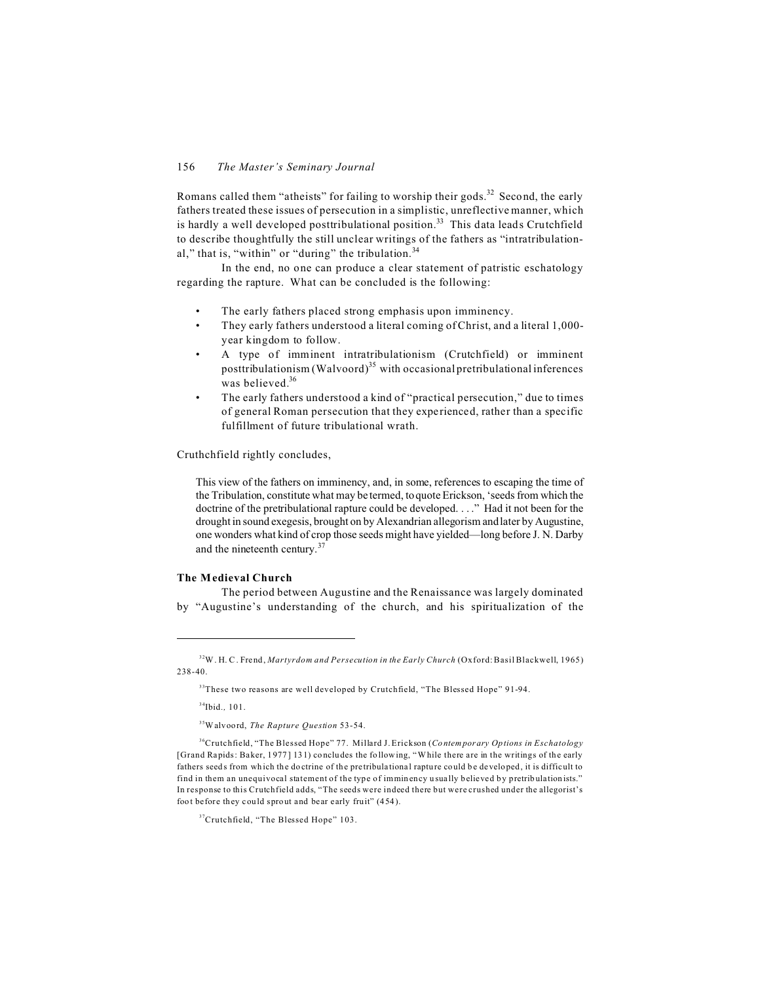Romans called them "atheists" for failing to worship their gods.<sup>32</sup> Second, the early fathers treated these issues of persecution in a simplistic, unreflective manner, which is hardly a well developed posttribulational position.<sup>33</sup> This data leads Crutchfield to describe thoughtfully the still unclear writings of the fathers as "intratribulational," that is, "within" or "during" the tribulation. $34$ 

In the end, no one can produce a clear statement of patristic eschatology regarding the rapture. What can be concluded is the following:

- The early fathers placed strong emphasis upon imminency.
- They early fathers understood a literal coming of Christ, and a literal 1,000 year kingdom to follow.
- A type of imminent intratribulationism (Crutchfield) or imminent posttribulationism (Walvoord)<sup>35</sup> with occasional pretribulational inferences was believed.<sup>36</sup>
- The early fathers understood a kind of "practical persecution," due to times of general Roman persecution that they experienced, rather than a specific fulfillment of future tribulational wrath.

Cruthchfield rightly concludes,

This view of the fathers on imminency, and, in some, references to escaping the time of the Tribulation, constitute what may be termed, to quote Erickson, 'seeds from which the doctrine of the pretribulational rapture could be developed. . . ." Had it not been for the drought in sound exegesis, brought on by Alexandrian allegorism and later by Augustine, one wonders what kind of crop those seeds might have yielded—long before J. N. Darby and the nineteenth century.<sup>37</sup>

### **The Medieval Church**

The period between Augustine and the Renaissance was largely dominated by "Augustine's understanding of the church, and his spiritualization of the

<sup>34</sup>Ibid*.,* 101.

<sup>35</sup>Walvoord, *The Rapture Question* 53-54.

<sup>32</sup>W . H. C . Frend, *Martyrdom and Persecution in the Early Church* (Oxford: Basil Blackwell, 1965) 238-40.

<sup>&</sup>lt;sup>33</sup>These two reasons are well developed by Crutchfield, "The Blessed Hope" 91-94.

<sup>36</sup>Crutchfield, "The Blessed Hope" 77. Millard J. Erickson (*Co ntem por ary Op tions in Eschatology* [Grand Rapids: Baker, 1977] 131) concludes the following, "While there are in the writings of the early fathers seeds from which the do ctrine of the pretribulational rapture could be developed, it is difficult to find in them an unequivocal statement of the type of imminency usually believed by pretribulationists." In response to this Crutchfield adds, "The seeds were indeed there but were crushed under the allegorist's foot before they could sprout and bear early fruit" (454).

<sup>&</sup>lt;sup>37</sup>Crutchfield, "The Blessed Hope" 103.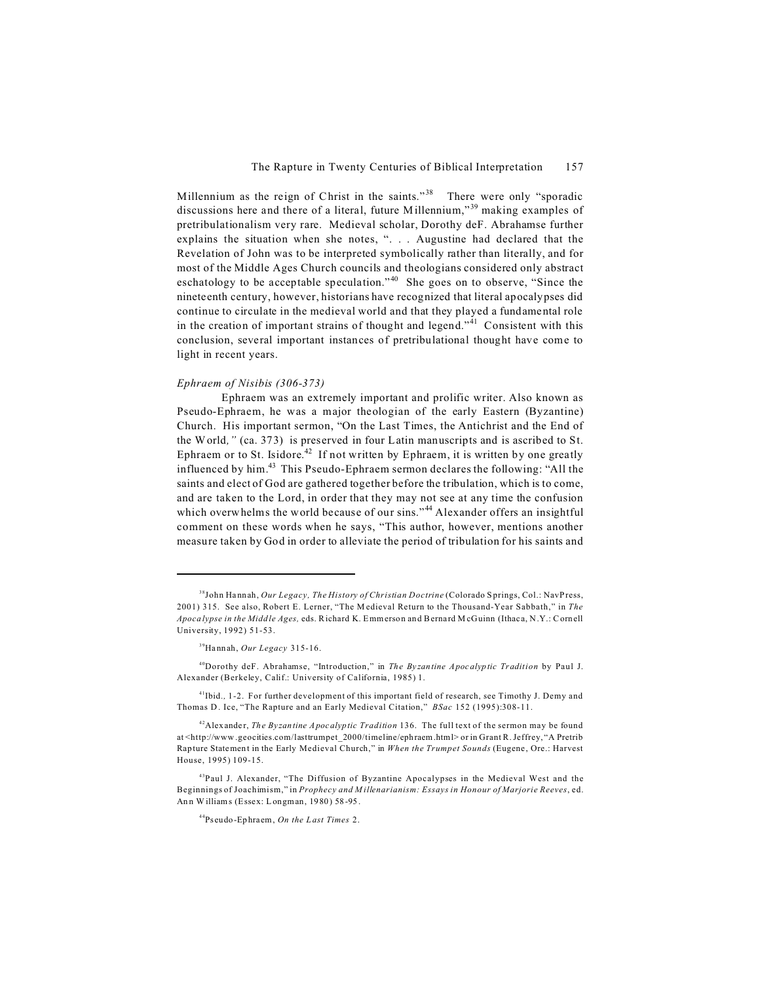Millennium as the reign of Christ in the saints."<sup>38</sup> There were only "sporadic discussions here and there of a literal, future Millennium,"<sup>39</sup> making examples of pretribulationalism very rare. Medieval scholar, Dorothy deF. Abrahamse further explains the situation when she notes, ". . . Augustine had declared that the Revelation of John was to be interpreted symbolically rather than literally, and for most of the Middle Ages Church councils and theologians considered only abstract eschatology to be acceptable speculation."<sup>40</sup> She goes on to observe, "Since the nineteenth century, however, historians have recognized that literal apocalypses did continue to circulate in the medieval world and that they played a fundamental role in the creation of important strains of thought and legend."<sup>41</sup> Consistent with this conclusion, several important instances of pretribulational thought have come to light in recent years.

### *Ephraem of Nisibis (306-373)*

Ephraem was an extremely important and prolific writer. Also known as Pseudo-Ephraem, he was a major theologian of the early Eastern (Byzantine) Church. His important sermon, "On the Last Times, the Antichrist and the End of the World*,"* (ca. 373) is preserved in four Latin manuscripts and is ascribed to St. Ephraem or to St. Isidore.<sup>42</sup> If not written by Ephraem, it is written by one greatly influenced by him. $43$  This Pseudo-Ephraem sermon declares the following: "All the saints and elect of God are gathered together before the tribulation, which is to come, and are taken to the Lord, in order that they may not see at any time the confusion which overwhelms the world because of our sins."<sup>44</sup> Alexander offers an insightful comment on these words when he says, "This author, however, mentions another measure taken by God in order to alleviate the period of tribulation for his saints and

<sup>38</sup>John Ha nnah, *Our Legacy, The History of Christian Doctrine* (Colorado S prings, Col.: NavPress, 2001) 315. See also, Robert E. Lerner, "The M edieval Return to the Thousand-Year Sabbath," in *The Apoca lypse in the Midd le Ages,* eds. Richard K. Emmerson an d Berna rd M cGuinn (Ithac a, N.Y.: Cornell University, 1992) 51-53.

<sup>39</sup>Ha nnah, *Our Legacy* 315-16.

<sup>40</sup>Dorothy deF. Abrahamse, "Introduction," in *The By zan tine Apoc alyp tic Tradition* by Paul J. Alexander (Berkeley, Calif.: University of California, 1985) 1.

<sup>&</sup>lt;sup>41</sup>Ibid., 1-2. For further development of this important field of research, see Timothy J. Demy and Thomas D . Ice, "The Rapture and an Early Medieval Citation," *BSac* 152 (1995):308-11.

<sup>&</sup>lt;sup>42</sup>Alex ander, *The Byzantine Apocalyptic Tradition* 136. The full text of the sermon may be found at <http://www .geocities.com/lasttrumpet\_2000/timeline/ephraem.html> or in Grant R.Jeffrey, "A Pretrib Rap ture Statemen t in the Early Medieval Church," in *When the Trumpet Sounds* (Eugene , Ore.: Harvest House, 1995) 109-15.

<sup>43</sup>Paul J. Alexander, "The Diffusion of Byzantine Apocalypses in the Medieval West and the Beginnings of Joachimism," in *Prophecy and M illenarianism: Essays in Honour of Marjorie Reeves*, ed. Ann Williams (Essex: Longman, 1980) 58-95.

<sup>44</sup>Pseudo-Ep hra em, *On the L ast Times* 2.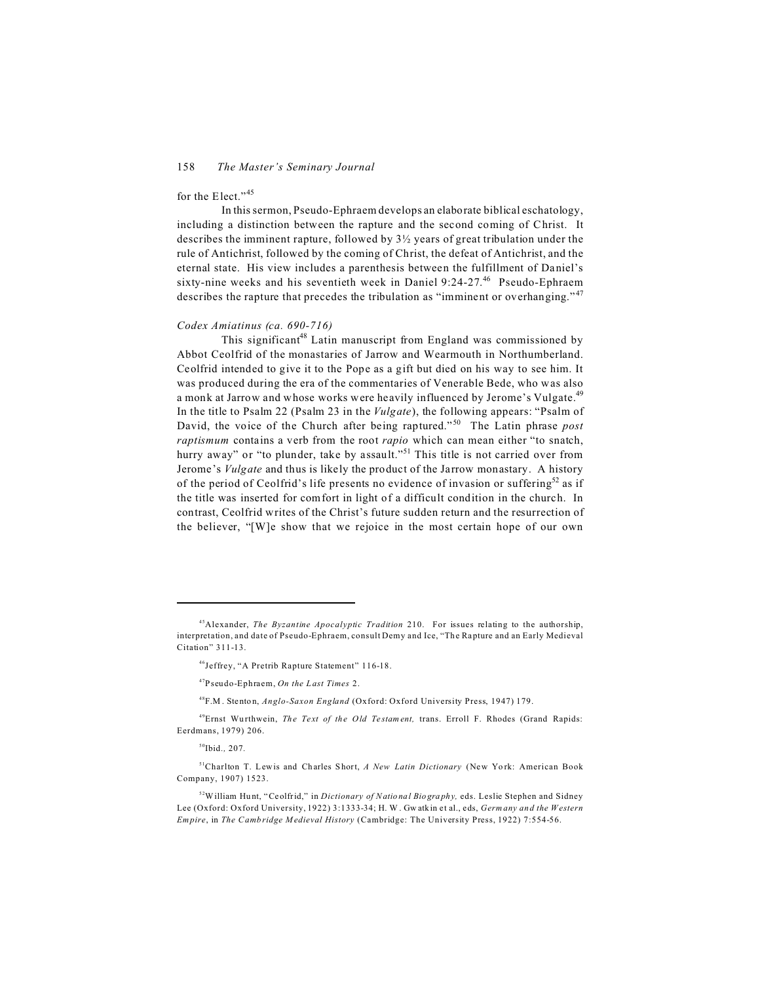### for the Elect."<sup>45</sup>

In this sermon, Pseudo-Ephraem develops an elaborate biblical eschatology, including a distinction between the rapture and the second coming of Christ. It describes the imminent rapture, followed by 3½ years of great tribulation under the rule of Antichrist, followed by the coming of Christ, the defeat of Antichrist, and the eternal state. His view includes a parenthesis between the fulfillment of Daniel's sixty-nine weeks and his seventieth week in Daniel 9:24-27. <sup>46</sup> Pseudo-Ephraem describes the rapture that precedes the tribulation as "imminent or overhanging."<sup>47</sup>

### *Codex Amiatinus (ca. 690-716)*

This significant<sup>48</sup> Latin manuscript from England was commissioned by Abbot Ceolfrid of the monastaries of Jarrow and Wearmouth in Northumberland. Ceolfrid intended to give it to the Pope as a gift but died on his way to see him. It was produced during the era of the commentaries of Venerable Bede, who was also a monk at Jarrow and whose works were heavily influenced by Jerome's Vulgate.<sup>49</sup> In the title to Psalm 22 (Psalm 23 in the *Vulgate*), the following appears: "Psalm of David, the voice of the Church after being raptured." <sup>50</sup> The Latin phrase *post raptismum* contains a verb from the root *rapio* which can mean either "to snatch, hurry away" or "to plunder, take by assault."<sup>51</sup> This title is not carried over from Jerome's *Vulgate* and thus is likely the product of the Jarrow monastary. A history of the period of Ceolfrid's life presents no evidence of invasion or suffering<sup>52</sup> as if the title was inserted for comfort in light of a difficult condition in the church. In contrast, Ceolfrid writes of the Christ's future sudden return and the resurrection of the believer, "[W]e show that we rejoice in the most certain hope of our own

<sup>45</sup>Alexander, *The Byzantine Apocalyptic Tradition* 210. For issues relating to the authorship, interpretation, and date of Pseudo-Ephraem, consult Demy and Ice, "The Rapture and an Early Medieval Citation" 311-13.

<sup>46</sup>Jeffrey, "A Pretrib Rapture Statement" 116-18.

<sup>47</sup>Pseudo-Ephraem, *On the L ast Times* 2.

<sup>&</sup>lt;sup>48</sup>F.M. Stenton, *Anglo-Saxon England* (Oxford: Oxford University Press, 1947) 179.

<sup>&</sup>lt;sup>49</sup>Ernst Wurthwein, *The Text of the Old Testament*, trans. Erroll F. Rhodes (Grand Rapids: Eerdmans, 1979) 206.

<sup>50</sup>Ibid*.,* 207*.*

<sup>&</sup>lt;sup>51</sup>Charlton T. Lewis and Charles Short, A New Latin Dictionary (New York: American Book Company, 1907) 1523.

<sup>52</sup>William Hu nt, "Ce olfrid," in *Dictionary of Natio nal Bio gra phy,* eds. Leslie Stephen and Sidney Lee (Oxford: Oxford University, 1922) 3:1333-34; H. W . Gw atkin e t al., eds, *Germ any an d the Western Empire*, in *The Camb ridge M edieval History* (Cambridge: The University Press, 1922) 7:554-56.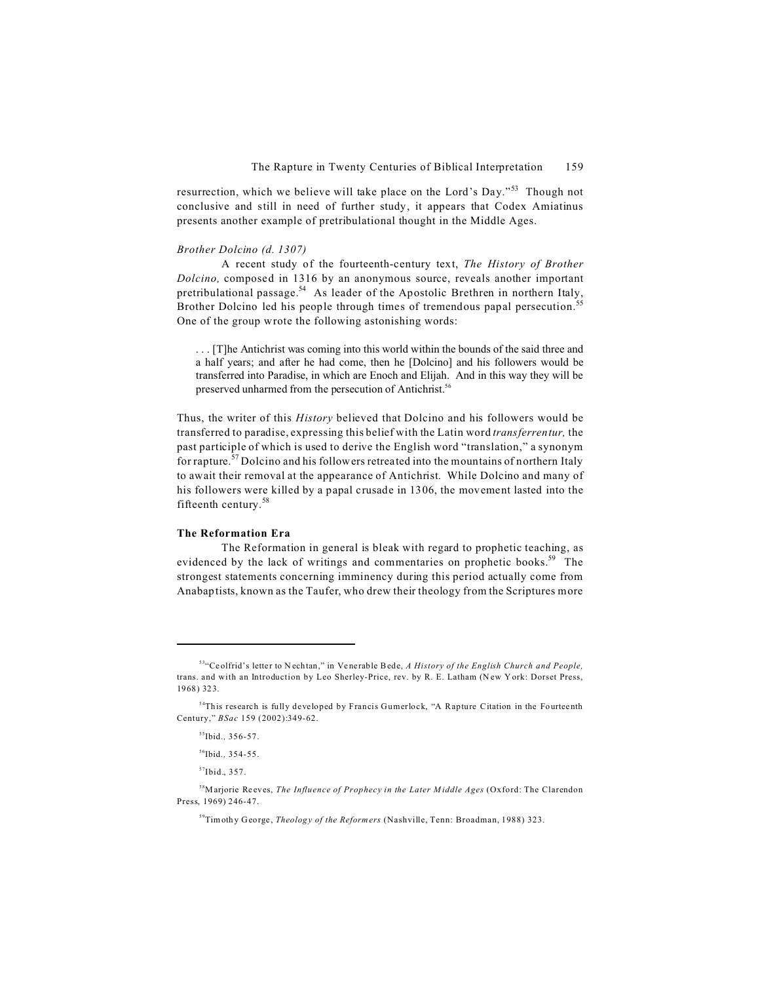resurrection, which we believe will take place on the Lord's Day."<sup>53</sup> Though not conclusive and still in need of further study, it appears that Codex Amiatinus presents another example of pretribulational thought in the Middle Ages.

### *Brother Dolcino (d. 1307)*

A recent study of the fourteenth-century text, *The History of Brother Dolcino,* composed in 1316 by an anonymous source, reveals another important pretribulational passage.<sup>54</sup> As leader of the Apostolic Brethren in northern Italy, Brother Dolcino led his people through times of tremendous papal persecution.<sup>55</sup> One of the group wrote the following astonishing words:

. . . [T]he Antichrist was coming into this world within the bounds of the said three and a half years; and after he had come, then he [Dolcino] and his followers would be transferred into Paradise, in which are Enoch and Elijah. And in this way they will be preserved unharmed from the persecution of Antichrist.<sup>56</sup>

Thus, the writer of this *History* believed that Dolcino and his followers would be transferred to paradise, expressing this belief with the Latin word *transferrentur,* the past participle of which is used to derive the English word "translation," a synonym for rapture.<sup>57</sup> Dolcino and his followers retreated into the mountains of northern Italy to await their removal at the appearance of Antichrist. While Dolcino and many of his followers were killed by a papal crusade in 1306, the movement lasted into the fifteenth century.<sup>58</sup>

### **The Reformation Era**

The Reformation in general is bleak with regard to prophetic teaching, as evidenced by the lack of writings and commentaries on prophetic books.<sup>59</sup> The strongest statements concerning imminency during this period actually come from Anabaptists, known as the Taufer, who drew their theology from the Scriptures more

<sup>53</sup>"Ce olfrid's lette r to N ech tan," in Ve nerable Bede, *A History of the English Church and People,* trans. and with an Introduction by Leo Sherley-Price, rev. by R. E. Latham (New York: Dorset Press, 1968) 32 3.

<sup>&</sup>lt;sup>54</sup>This research is fully developed by Francis Gumerlock, "A Rapture Citation in the Fourteenth Century," *BSac* 159 (2002):349-62.

<sup>55</sup>Ibid*.,* 356-57.

<sup>56</sup>Ibid*.,* 354-55.

<sup>57</sup>Ibid., 357.

<sup>&</sup>lt;sup>58</sup>Marjorie Reeves, *The Influence of Prophecy in the Later Middle Ages* (Oxford: The Clarendon Press, 1969) 246-47.

<sup>&</sup>lt;sup>59</sup>Timothy George, *Theology of the Reformers* (Nashville, Tenn: Broadman, 1988) 323.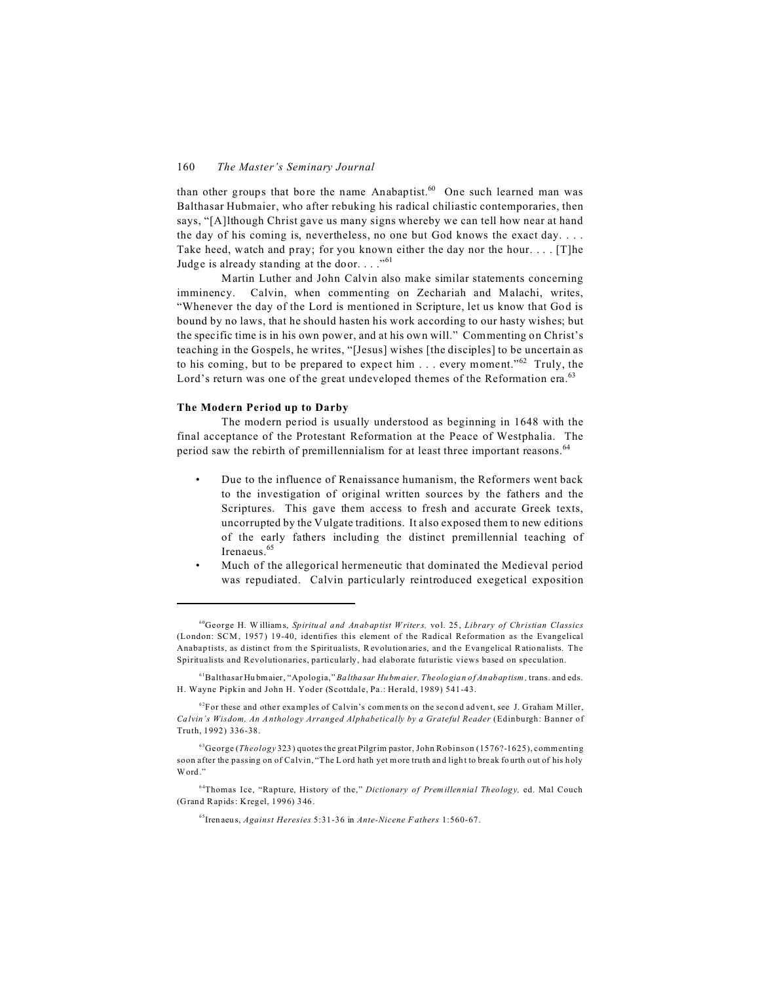than other groups that bore the name Anabaptist. $60$  One such learned man was Balthasar Hubmaier, who after rebuking his radical chiliastic contemporaries, then says, "[A]lthough Christ gave us many signs whereby we can tell how near at hand the day of his coming is, nevertheless, no one but God knows the exact day. . . . Take heed, watch and pray; for you known either the day nor the hour. . . . [T]he Judge is already standing at the door. . . . "61

Martin Luther and John Calvin also make similar statements concerning imminency. Calvin, when commenting on Zechariah and Malachi, writes, "Whenever the day of the Lord is mentioned in Scripture, let us know that God is bound by no laws, that he should hasten his work according to our hasty wishes; but the specific time is in his own power, and at his own will." Commenting on Christ's teaching in the Gospels, he writes, "[Jesus] wishes [the disciples] to be uncertain as to his coming, but to be prepared to expect him  $\ldots$  every moment."<sup>62</sup> Truly, the Lord's return was one of the great undeveloped themes of the Reformation era.<sup>63</sup>

### **The Modern Period up to Darby**

The modern period is usually understood as beginning in 1648 with the final acceptance of the Protestant Reformation at the Peace of Westphalia. The period saw the rebirth of premillennialism for at least three important reasons.<sup>64</sup>

- Due to the influence of Renaissance humanism, the Reformers went back to the investigation of original written sources by the fathers and the Scriptures. This gave them access to fresh and accurate Greek texts, uncorrupted by the Vulgate traditions. It also exposed them to new editions of the early fathers including the distinct premillennial teaching of Irenaeus.<sup>65</sup>
- Much of the allegorical hermeneutic that dominated the Medieval period was repudiated. Calvin particularly reintroduced exegetical exposition

<sup>60</sup>George H. W illiams, *Spiritual a nd An abaptist W riters,* vol. 25 , *Library of Christian Classics* (London: SCM, 1957 ) 19-40, identifies this element of the Radical Reformation as the Evangelical Anabaptists, as distinct from the Spiritualists, Revolutionaries, and the Evangelical Rationalists. The Spiritualists and Revolutionaries, particularly, had elaborate futuristic views based on speculation.

<sup>61</sup>Balthasar Hu bmaier, "Apologia," *Ba ltha sar Hu bm aie r, Theolo gia n of An abaptism,* trans. and eds. H. Wayne Pipkin and John H. Yoder (Scottdale, Pa.: Herald, 1989) 541-43.

 $62$ For these and other examples of Calvin's comments on the second advent, see J. Graham Miller, *Ca lvin's Wisdom, An Anthology Arranged Alphabetically by a Grateful Reader* (Edinburgh: Banner of Truth, 1992) 336-38.

<sup>63</sup>George (*Theology* 323 ) quotes the great Pilgrim pastor, John Robinson (1576?-1625), commenting soon after the passing on of Calvin, "The Lord hath yet more truth and light to break fourth out of his holy Word ."

<sup>64</sup>Thomas Ice, "Rapture, History of the," *Dictionary of Premillen nia l Th eolog y,* ed. Mal Couch (Grand Rapids: Kregel, 1996) 3 46.

<sup>65</sup>Iren aeu s, *Against Heresies* 5:31-36 in *Ante-Nicene F athers* 1:560-67.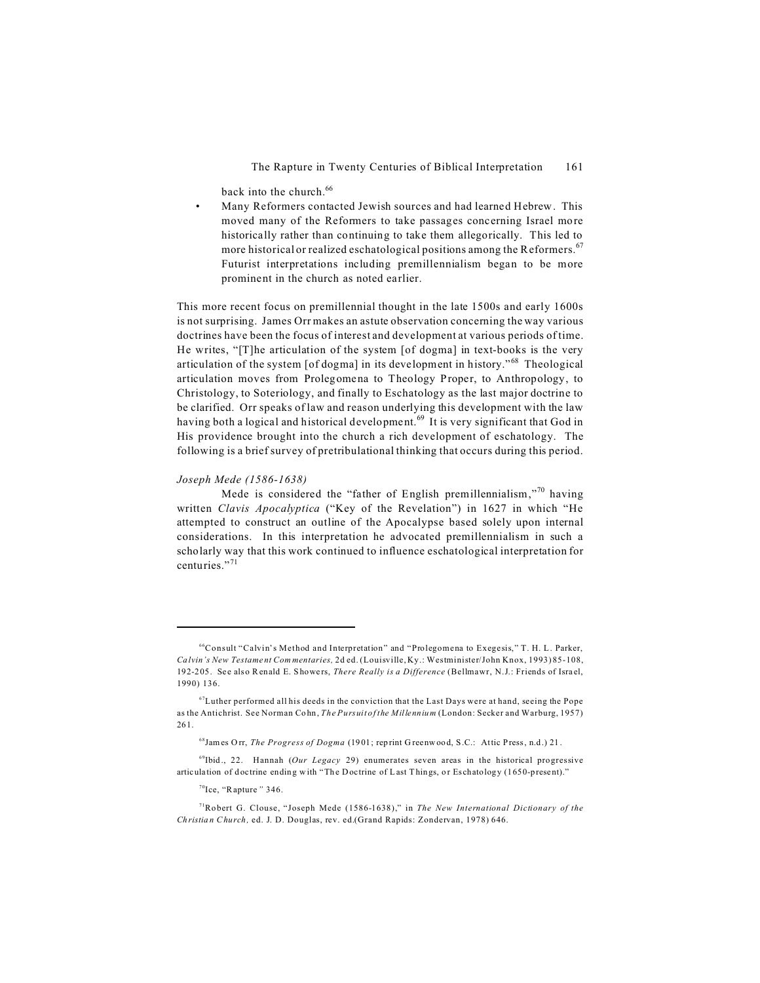back into the church.<sup>66</sup>

Many Reformers contacted Jewish sources and had learned Hebrew. This moved many of the Reformers to take passages concerning Israel more historically rather than continuing to take them allegorically. This led to more historical or realized eschatological positions among the Reformers.<sup>67</sup> Futurist interpretations including premillennialism began to be more prominent in the church as noted earlier.

This more recent focus on premillennial thought in the late 1500s and early 1600s is not surprising. James Orr makes an astute observation concerning the way various doctrines have been the focus of interest and development at various periods of time. He writes, "[T] he articulation of the system [of dogma] in text-books is the very articulation of the system [of dogma] in its development in history."<sup>68</sup> Theological articulation moves from Prolegomena to Theology Proper, to Anthropology, to Christology, to Soteriology, and finally to Eschatology as the last major doctrine to be clarified. Orr speaks of law and reason underlying this development with the law having both a logical and historical development.<sup>69</sup> It is very significant that God in His providence brought into the church a rich development of eschatology. The following is a brief survey of pretribulational thinking that occurs during this period.

### Joseph Mede (1586-1638)

Mede is considered the "father of English premillennialism,"<sup>70</sup> having written Clavis Apocalyptica ("Key of the Revelation") in 1627 in which "He attempted to construct an outline of the Apocalypse based solely upon internal considerations. In this interpretation he advocated premillennialism in such a scholarly way that this work continued to influence eschatological interpretation for centuries "71

<sup>&</sup>lt;sup>66</sup>Consult "Calvin's Method and Interpretation" and "Prolegomena to Exegesis," T. H. L. Parker, Calvin's New Testament Commentaries, 2d ed. (Louisville, Ky.: Westminister/John Knox, 1993) 85-108, 192-205. See also Renald E. Showers, There Really is a Difference (Bellmawr, N.J.: Friends of Israel, 1990) 136.

 ${}^{67}$ Luther performed all his deeds in the conviction that the Last Days were at hand, seeing the Pope as the Antichrist. See Norman Cohn, The Pursuit of the Millennium (London: Secker and Warburg, 1957) 261.

<sup>68</sup> James Orr, The Progress of Dogma (1901; reprint Greenwood, S.C.: Attic Press, n.d.) 21.

 $^{69}$ Ibid., 22. Hannah (Our Legacy 29) enumerates seven areas in the historical progressive articulation of doctrine ending with "The Doctrine of Last Things, or Eschatology (1650-present)."

 $70$ Ice, "Rapture" 346.

<sup>&</sup>lt;sup>71</sup>Robert G. Clouse, "Joseph Mede (1586-1638)," in *The New International Dictionary of the* Christian Church, ed. J. D. Douglas, rev. ed.(Grand Rapids: Zondervan, 1978) 646.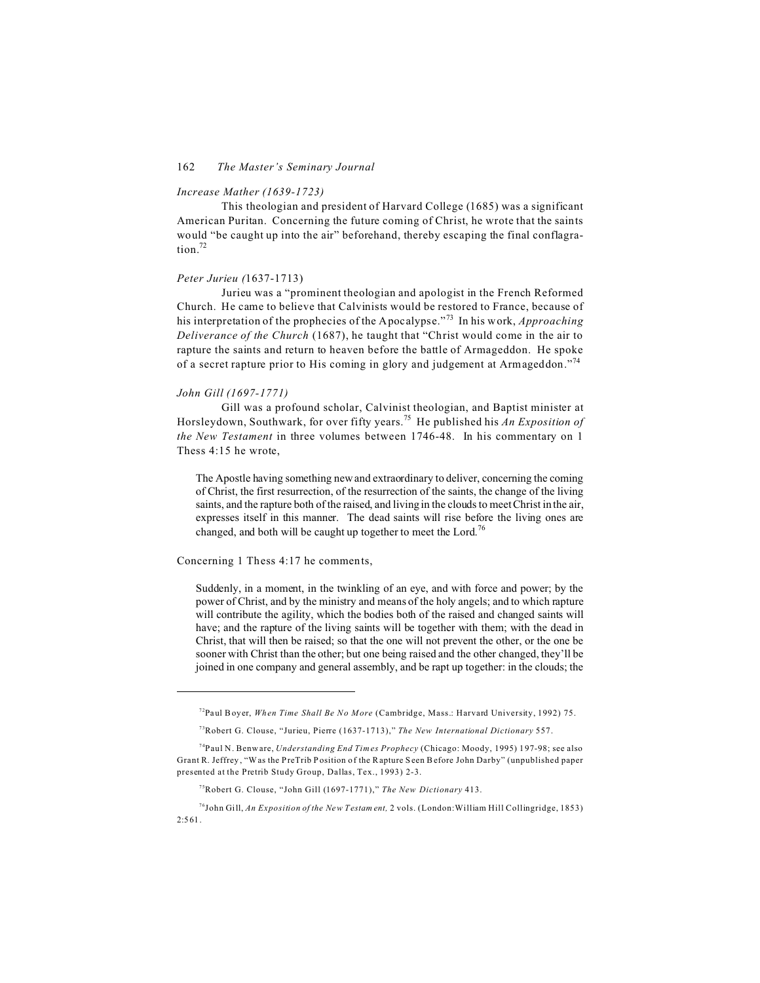### *Increase Mather (1639-1723)*

This theologian and president of Harvard College (1685) was a significant American Puritan.Concerning the future coming of Christ, he wrote that the saints would "be caught up into the air" beforehand, thereby escaping the final conflagra $t$ ion<sup>72</sup>

### *Peter Jurieu (*1637-1713)

Jurieu was a "prominent theologian and apologist in the French Reformed Church. He came to believe that Calvinists would be restored to France, because of his interpretation of the prophecies of the Apocalypse."<sup>73</sup> In his work, *Approaching Deliverance of the Church* (1687), he taught that "Christ would come in the air to rapture the saints and return to heaven before the battle of Armageddon. He spoke of a secret rapture prior to His coming in glory and judgement at Armageddon."<sup>74</sup>

### *John Gill (1697-1771)*

Gill was a profound scholar, Calvinist theologian, and Baptist minister at Horsleydown, Southwark, for over fifty years.<sup>75</sup> He published his *An Exposition of the New Testament* in three volumes between 1746-48. In his commentary on 1 Thess 4:15 he wrote,

The Apostle having something new and extraordinary to deliver, concerning the coming of Christ, the first resurrection, of the resurrection of the saints, the change of the living saints, and the rapture both of the raised, and living in the clouds to meet Christ in the air, expresses itself in this manner. The dead saints will rise before the living ones are changed, and both will be caught up together to meet the Lord.<sup>76</sup>

Concerning 1 Thess 4:17 he comments,

Suddenly, in a moment, in the twinkling of an eye, and with force and power; by the power of Christ, and by the ministry and means of the holy angels; and to which rapture will contribute the agility, which the bodies both of the raised and changed saints will have; and the rapture of the living saints will be together with them; with the dead in Christ, that will then be raised; so that the one will not prevent the other, or the one be sooner with Christ than the other; but one being raised and the other changed, they'll be joined in one company and general assembly, and be rapt up together: in the clouds; the

<sup>72</sup>Paul Boyer, *Wh en Time Shall Be No M ore* (Cambridge, Mass.: Harvard University, 1992) 75.

<sup>73</sup>Robert G. Clouse, "Jurieu, Pierre (1637-1713)," *The New International Dictionary* 557.

<sup>74</sup>Paul N. Benware, *Understanding End Times Prophecy* (Chicago: Moody, 1995) 1 97-98; see also Grant R. Jeffrey , "Was the PreTrib Position o f the Rapture S een Before John Darby" (unpublished paper presented at the Pretrib Study Group, Dallas, Tex., 1993) 2-3.

<sup>75</sup>Robert G. Clouse, "John Gill (1697-1771)," *The New Dictionary* 413.

<sup>76</sup>John Gill, *An Exposition of the New T estam ent,* 2 vols. (London:William Hill Collingridge, 1853) 2:5 61.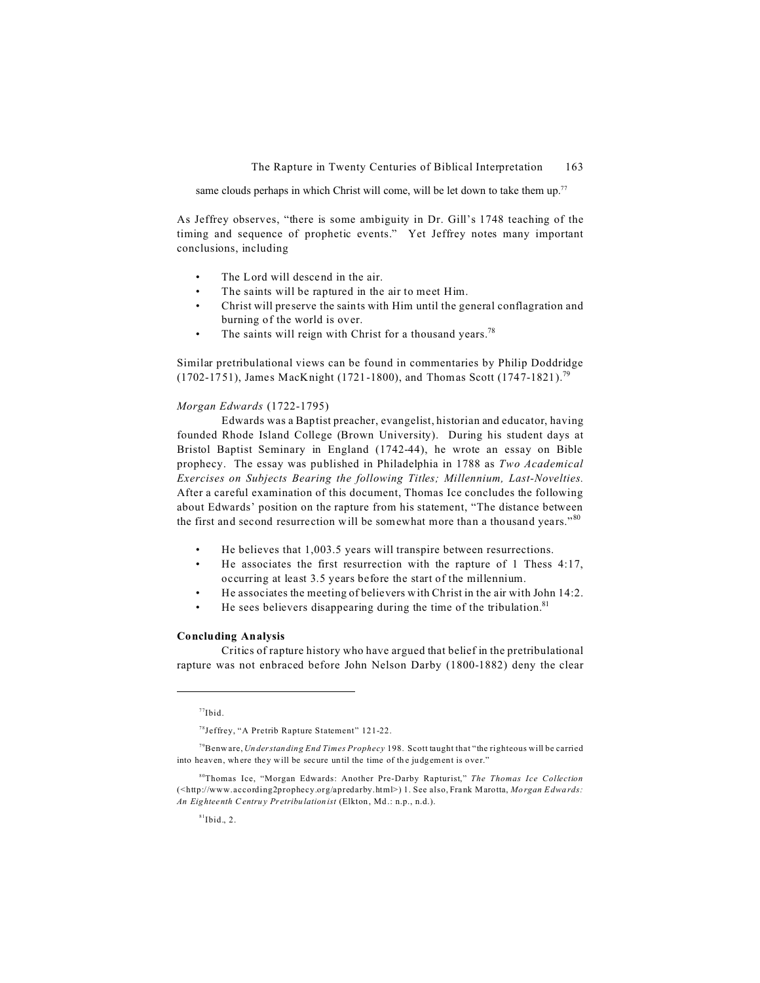same clouds perhaps in which Christ will come, will be let down to take them up.<sup>77</sup>

As Jeffrey observes, "there is some ambiguity in Dr. Gill's 1748 teaching of the timing and sequence of prophetic events." Yet Jeffrey notes many important conclusions, including

- The Lord will descend in the air.
- The saints will be raptured in the air to meet Him.
- Christ will preserve the saints with Him until the general conflagration and burning of the world is over.
- The saints will reign with Christ for a thousand years.<sup>78</sup>

Similar pretribulational views can be found in commentaries by Philip Doddridge (1702-1751), James MacKnight (1721-1800), and Thomas Scott (1747-1821).<sup>79</sup>

### *Morgan Edwards* (1722-1795)

Edwards was a Baptist preacher, evangelist, historian and educator, having founded Rhode Island College (Brown University). During his student days at Bristol Baptist Seminary in England (1742-44), he wrote an essay on Bible prophecy. The essay was published in Philadelphia in 1788 as *Two Academical Exercises on Subjects Bearing the following Titles; Millennium, Last-Novelties.* After a careful examination of this document, Thomas Ice concludes the following about Edwards' position on the rapture from his statement, "The distance between the first and second resurrection will be somewhat more than a thousand years."<sup>80</sup>

- He believes that 1,003.5 years will transpire between resurrections.
- He associates the first resurrection with the rapture of 1 Thess  $4:17$ , occurring at least 3.5 years before the start of the millennium.
- He associates the meeting of believers with Christ in the air with John 14:2.
- He sees believers disappearing during the time of the tribulation.<sup>81</sup>

### **Concluding Analysis**

Critics of rapture history who have argued that belief in the pretribulational rapture was not enbraced before John Nelson Darby (1800-1882) deny the clear

 $77$ Ibid.

<sup>78</sup>Jeffrey, "A Pretrib Rapture Statement" 121-22.

<sup>79</sup>Benware, *Un derstan ding End Times Prophecy* 198. Scott taught that "the righteous will be carried into heaven, where they will be secure until the time of the judgement is over."

<sup>80</sup>Thomas Ice, "Morgan Edwards: Another Pre-Darby Rapturist," *The Thomas Ice Collection* (<http://www.according2prophecy.org/apredarby.html>) 1. See also, Frank Marotta, *Mo rgan Edwa rds: An Eighteenth C entru y Pr etribu lation ist* (Elkton , Md .: n.p., n.d.).

 $81$ Ibid., 2.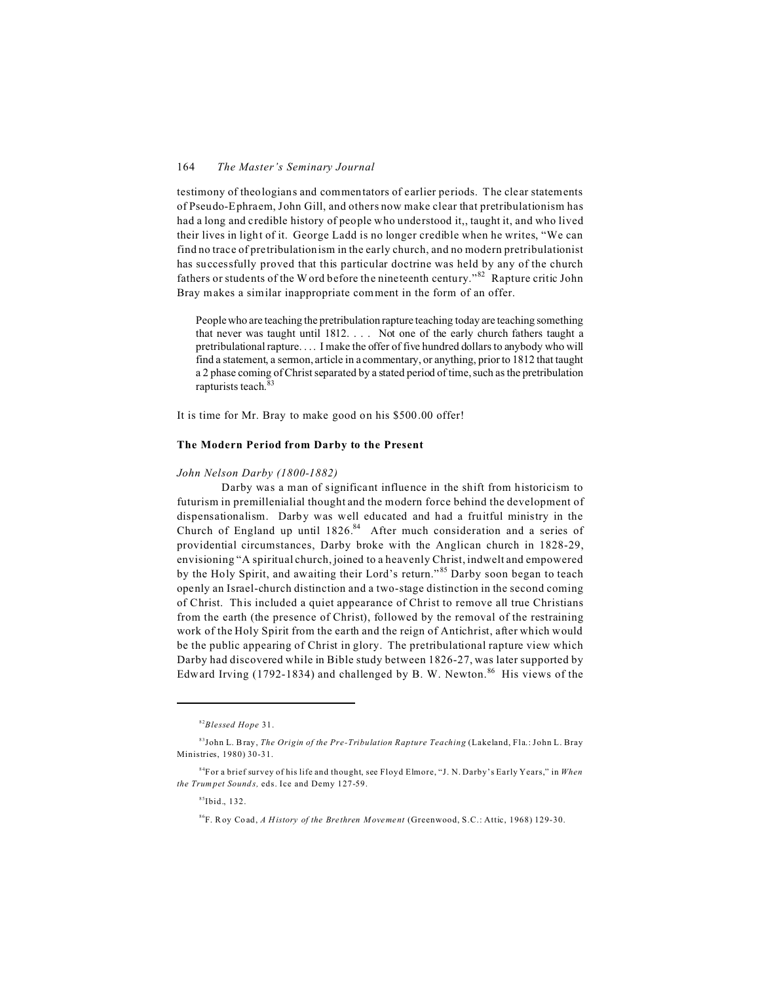testimony of theologians and commentators of earlier periods. The clear statements of Pseudo-Ephraem, John Gill, and others now make clear that pretribulationism has had a long and credible history of people who understood it,, taught it, and who lived their lives in light of it. George Ladd is no longer credible when he writes, "We can find no trace of pretribulationism in the early church, and no modern pretribulationist has successfully proved that this particular doctrine was held by any of the church fathers or students of the W ord before the nineteenth century."<sup>82</sup> Rapture critic John Bray makes a similar inappropriate comment in the form of an offer.

People who are teaching the pretribulation rapture teaching today are teaching something that never was taught until 1812. . . . Not one of the early church fathers taught a pretribulational rapture. . . . I make the offer of five hundred dollars to anybody who will find a statement, a sermon, article in a commentary, or anything, prior to 1812 that taught a 2 phase coming of Christ separated by a stated period of time, such as the pretribulation rapturists teach. 83

It is time for Mr. Bray to make good on his \$500.00 offer!

### **The Modern Period from Darby to the Present**

### *John Nelson Darby (1800-1882)*

Darby was a man of significant influence in the shift from historicism to futurism in premillenialial thought and the modern force behind the development of dispensationalism. Darby was well educated and had a fruitful ministry in the Church of England up until  $1826$ .<sup>84</sup> After much consideration and a series of providential circumstances, Darby broke with the Anglican church in 1828-29, envisioning "A spiritual church, joined to a heavenly Christ, indwelt and empowered by the Holy Spirit, and awaiting their Lord's return."<sup>85</sup> Darby soon began to teach openly an Israel-church distinction and a two-stage distinction in the second coming of Christ. This included a quiet appearance of Christ to remove all true Christians from the earth (the presence of Christ), followed by the removal of the restraining work of the Holy Spirit from the earth and the reign of Antichrist, after which would be the public appearing of Christ in glory. The pretribulational rapture view which Darby had discovered while in Bible study between 1826-27, was later supported by Edward Irving  $(1792-1834)$  and challenged by B. W. Newton.<sup>86</sup> His views of the

 $85$ Ibid., 132.

<sup>82</sup>*Blessed Hope* 31.

<sup>83</sup>John L. Bray, *The Origin of the Pre-Tribulation Rapture Teaching* (Lakeland, Fla.: John L. Bray Ministries, 1980) 30-31.

<sup>84</sup>For a brief survey of his life and thought, see Floyd Elmore, "J. N. Darby's Early Years," in *When the Trum pet Sound s,* eds. Ice and Demy 127-59.

<sup>86</sup>F. Roy Co ad, *A H istory of the Bre thren Moveme nt* (Greenwood, S.C.: Attic, 1968) 129-30.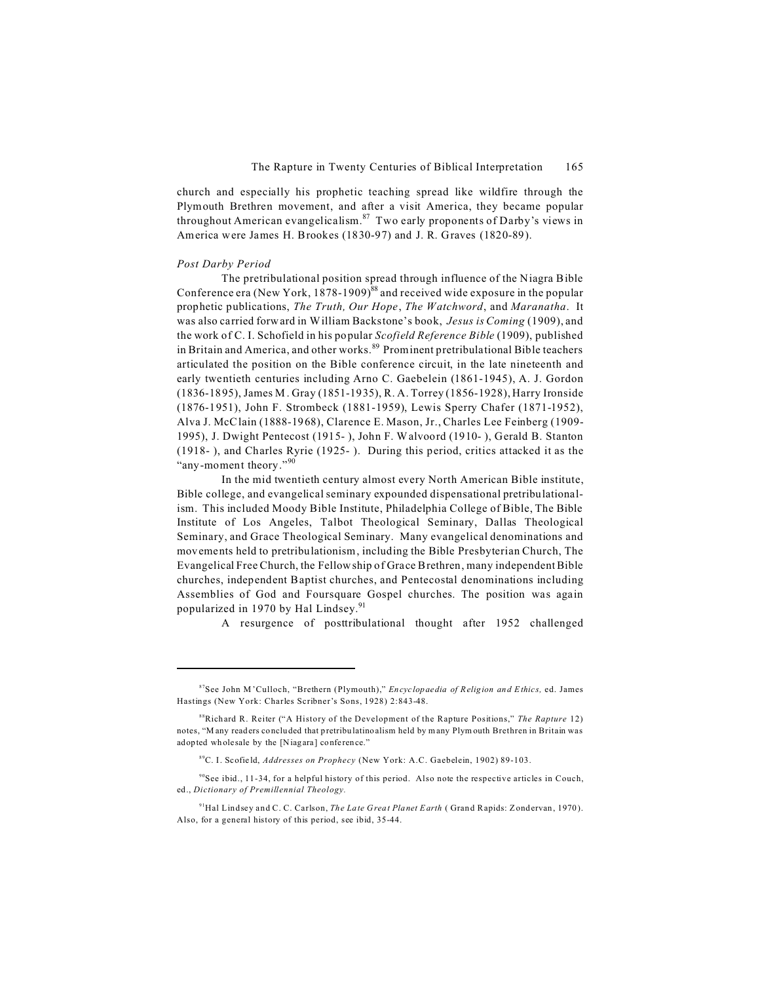church and especially his prophetic teaching spread like wildfire through the Plymouth Brethren movement, and after a visit America, they became popular throughout American evangelicalism.<sup>87</sup> Two early proponents of Darby's views in America were James H. Brookes (1830-97) and J. R. Graves (1820-89).

### *Post Darby Period*

The pretribulational position spread through influence of the Niagra Bible Conference era (New York, 1878-1909)<sup>88</sup> and received wide exposure in the popular prophetic publications, *The Truth, Our Hope*, *The Watchword*, and *Maranatha*. It was also carried forward in William Backstone's book, *Jesus is Coming* (1909), and the work of C. I. Schofield in his popular *Scofield Reference Bible* (1909), published in Britain and America, and other works.<sup>89</sup> Prominent pretribulational Bible teachers articulated the position on the Bible conference circuit, in the late nineteenth and early twentieth centuries including Arno C. Gaebelein (1861-1945), A. J. Gordon (1836-1895), James M. Gray (1851-1935), R. A. Torrey (1856-1928), Harry Ironside (1876-1951), John F. Strombeck (1881-1959), Lewis Sperry Chafer (1871-1952), Alva J. McClain (1888-1968), Clarence E. Mason, Jr., Charles Lee Feinberg (1909- 1995), J. Dwight Pentecost (1915- ), John F. Walvoord (1910- ), Gerald B. Stanton (1918- ), and Charles Ryrie (1925- ). During this period, critics attacked it as the "any-moment theory."<sup>90</sup>

In the mid twentieth century almost every North American Bible institute, Bible college, and evangelical seminary expounded dispensational pretribulationalism. This included Moody Bible Institute, Philadelphia College of Bible, The Bible Institute of Los Angeles, Talbot Theological Seminary, Dallas Theological Seminary, and Grace Theological Seminary. Many evangelical denominations and movements held to pretribulationism, including the Bible Presbyterian Church, The Evangelical Free Church, the Fellow ship of Grace Brethren, many independent Bible churches, independent Baptist churches, and Pentecostal denominations including Assemblies of God and Foursquare Gospel churches. The position was again popularized in 1970 by Hal Lindsey.<sup>91</sup>

A resurgence of posttribulational thought after 1952 challenged

<sup>87</sup>See John M'Culloch, "Brethern (Plymouth)," *En cyc lop aedia of Religion and Ethic s,* ed. James Hastings (New York: Charles Scribner's Sons, 1928) 2:843-48.

<sup>88</sup>Rich ard R. Reiter ("A History of the Development of the Rapture Positions," *The Rapture* 12) notes, "M any readers co nclu ded that p retribu latino alism held by many Plymouth Brethren in Britain was adopted wholesale by the [Niagara] conference."

<sup>89</sup>C. I. Scofie ld, *Addresses on Prophecy* (New York: A.C. Gaebelein, 1902) 89-103.

 $90$ See ibid., 11-34, for a helpful history of this period. Also note the respective articles in Couch, ed., *Dictionary of Premillennial Theology.*

<sup>&</sup>lt;sup>91</sup>Hal Lindsey and C. C. Carlson, *The Late Great Planet Earth* (Grand Rapids: Zondervan, 1970). Also, for a general history of this period, see ibid, 35-44.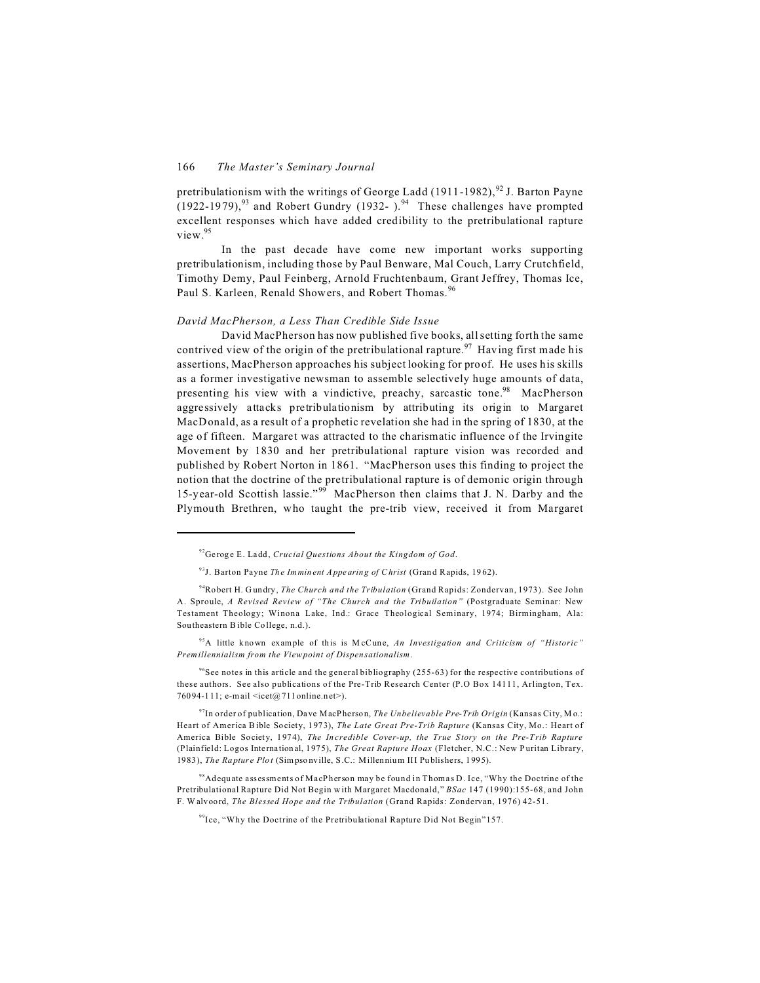pretribulationism with the writings of George Ladd (1911-1982), 92 J. Barton Pavne  $(1922-1979)^{93}$  and Robert Gundry (1932-).<sup>94</sup> These challenges have prompted excellent responses which have added credibility to the pretribulational rapture  $v$ iew $^{95}$ 

In the past decade have come new important works supporting pretribulationism, including those by Paul Benware, Mal Couch, Larry Crutchfield, Timothy Demy, Paul Feinberg, Arnold Fruchtenbaum, Grant Jeffrey, Thomas Ice, Paul S. Karleen, Renald Showers, and Robert Thomas.<sup>96</sup>

### David MacPherson, a Less Than Credible Side Issue

David MacPherson has now published five books, all setting forth the same contrived view of the origin of the pretribulational rapture.<sup>97</sup> Having first made his assertions, MacPherson approaches his subject looking for proof. He uses his skills as a former investigative newsman to assemble selectively huge amounts of data, presenting his view with a vindictive, preachy, sarcastic tone.<sup>98</sup> MacPherson aggressively attacks pretribulationism by attributing its origin to Margaret MacDonald, as a result of a prophetic revelation she had in the spring of 1830, at the age of fifteen. Margaret was attracted to the charismatic influence of the Irvingite Movement by 1830 and her pretribulational rapture vision was recorded and published by Robert Norton in 1861. "MacPherson uses this finding to project the notion that the doctrine of the pretribulational rapture is of demonic origin through 15-year-old Scottish lassie."<sup>99</sup> MacPherson then claims that J. N. Darby and the Plymouth Brethren, who taught the pre-trib view, received it from Margaret

<sup>95</sup>A little known example of this is McCune, An Investigation and Criticism of "Historic" Premillennialism from the Viewpoint of Dispensationalism.

 $96$ See notes in this article and the general bibliography (255-63) for the respective contributions of these authors. See also publications of the Pre-Trib Research Center (P.O Box 14111, Arlington, Tex. 76094-111; e-mail <icet@711online.net>).

 $\frac{97}{10}$  order of publication, Dave MacPherson, The Unbelievable Pre-Trib Origin (Kansas City, Mo.: Heart of America Bible Society, 1973), The Late Great Pre-Trib Rapture (Kansas City, Mo.: Heart of America Bible Society, 1974), The Incredible Cover-up, the True Story on the Pre-Trib Rapture (Plainfield: Logos International, 1975), The Great Rapture Hoax (Fletcher, N.C.: New Puritan Library, 1983), The Rapture Plot (Simpsonville, S.C.: Millennium III Publishers, 1995).

<sup>98</sup>Adequate assessments of MacPherson may be found in Thomas D. Ice, "Why the Doctrine of the Pretribulational Rapture Did Not Begin with Margaret Macdonald," BSac 147 (1990):155-68, and John F. Walvoord, The Blessed Hope and the Tribulation (Grand Rapids: Zondervan, 1976) 42-51.

<sup>99</sup>Ice, "Why the Doctrine of the Pretribulational Rapture Did Not Begin"157.

<sup>&</sup>lt;sup>92</sup>Geroge E. Ladd, Crucial Questions About the Kingdom of God.

<sup>93</sup>J. Barton Payne The Imminent Appearing of Christ (Grand Rapids, 1962).

<sup>&</sup>lt;sup>94</sup>Robert H. Gundry, *The Church and the Tribulation* (Grand Rapids: Zondervan, 1973). See John A. Sproule, A Revised Review of "The Church and the Tribuilation" (Postgraduate Seminar: New Testament Theology; Winona Lake, Ind.: Grace Theological Seminary, 1974; Birmingham, Ala: Southeastern Bible College, n.d.).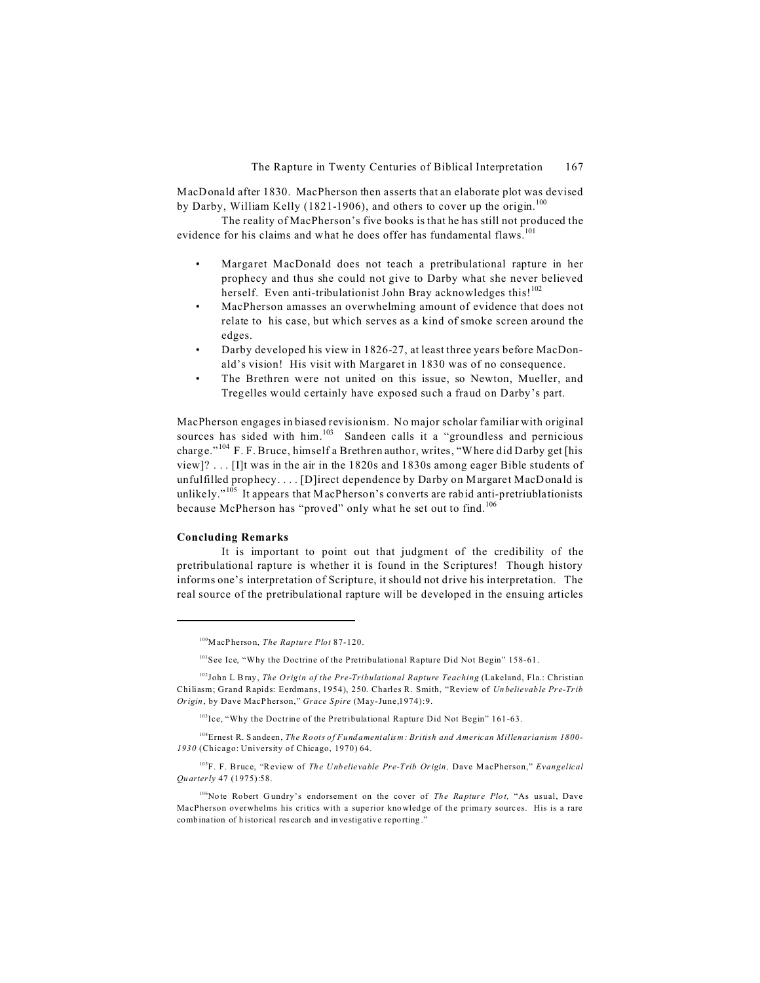MacDonald after 1830. MacPherson then asserts that an elaborate plot was devised by Darby, William Kelly (1821-1906), and others to cover up the origin.<sup>100</sup>

The reality of MacPherson's five books is that he has still not produced the evidence for his claims and what he does offer has fundamental flaws.<sup>101</sup>

- Margaret MacDonald does not teach a pretribulational rapture in her prophecy and thus she could not give to Darby what she never believed herself. Even anti-tribulationist John Bray acknowledges this!<sup>102</sup>
- MacPherson amasses an overwhelming amount of evidence that does not relate to his case, but which serves as a kind of smoke screen around the edges.
- Darby developed his view in 1826-27, at least three years before MacDonald's vision! His visit with Margaret in 1830 was of no consequence.
- The Brethren were not united on this issue, so Newton, Mueller, and Tregelles would certainly have exposed such a fraud on Darby's part.

MacPherson engages in biased revisionism. No major scholar familiar with original sources has sided with him.<sup>103</sup> Sandeen calls it a "groundless and pernicious charge."<sup>104</sup> F. F. Bruce, himself a Brethren author, writes, "Where did Darby get [his view]? . . . [I]t was in the air in the 1820s and 1830s among eager Bible students of unfulfilled prophecy. . . . [D]irect dependence by Darby on Margaret MacDonald is unlikely."<sup>105</sup> It appears that MacPherson's converts are rabid anti-pretriublationists because McPherson has "proved" only what he set out to find.<sup>106</sup>

### **Concluding Remarks**

It is important to point out that judgment of the credibility of the pretribulational rapture is whether it is found in the Scriptures! Though history informs one's interpretation of Scripture, it should not drive his interpretation. The real source of the pretribulational rapture will be developed in the ensuing articles

<sup>104</sup>Ernest R. S andeen, *The Roots of Fundamentalism: British and American Millenarianism 1800- 1930* (Chicago: University of Chicago, 1970) 64.

<sup>105</sup>F. F. Bruce, "Review of *The Unbelievable Pre-Trib Origin*, Dave MacPherson," *Evangelical Qu arterly* 47 (1975):58.

<sup>106</sup>Note Robert Gundry's endorsement on the cover of *The Rapture Plot*, "As usual, Dave MacPherson overwhelms his critics with a superior knowledge of the primary sources. His is a rare combination of historical research and investigative reporting."

<sup>100</sup>MacP herson, *The Rapture Plot* 87-120.

<sup>101</sup>See Ice, "Why the Doctrine of the Pretribulational Rapture Did Not Begin" 158-61.

<sup>102</sup>John L Bray, *The O rigin of the Pre-Tribulational Rapture Teaching* (Lakeland, Fla.: Christian Chiliasm; Grand Rapids: Eerdmans, 1954), 250. Charles R. Smith, "Review of *Un belie vab le Pr e-Trib Origin*, by Dave MacP herson," *Grace S pire* (May-June,1974):9.

<sup>103</sup>Ice, "Why the Doctrine of the Pretribulational Rapture Did Not Begin" 161-63.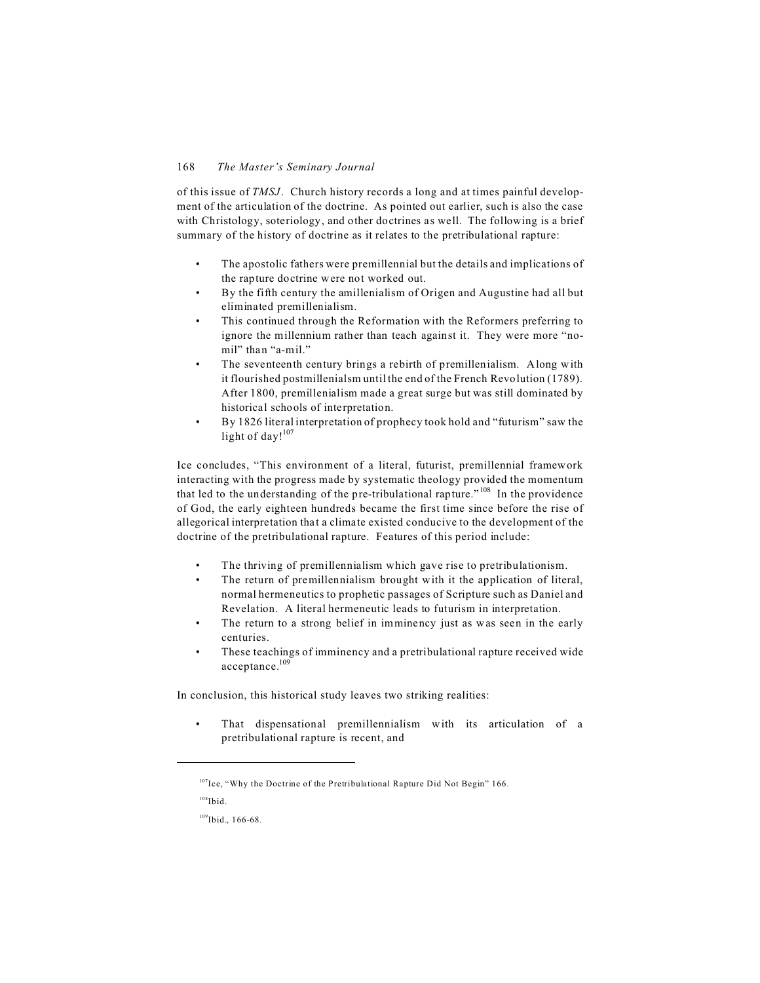of this issue of *TMSJ*. Church history records a long and at times painful development of the articulation of the doctrine. As pointed out earlier, such is also the case with Christology, soteriology, and other doctrines as well. The following is a brief summary of the history of doctrine as it relates to the pretribulational rapture:

- The apostolic fathers were premillennial but the details and implications of the rapture doctrine were not worked out.
- By the fifth century the amillenialism of Origen and Augustine had all but eliminated premillenialism.
- This continued through the Reformation with the Reformers preferring to ignore the millennium rather than teach against it. They were more "nomil" than "a-mil."
- The seventeenth century brings a rebirth of premillenialism. Along with it flourished postmillenialsm until the end of the French Revolution (1789). After 1800, premillenialism made a great surge but was still dominated by historical schools of interpretation.
- By 1826 literal interpretation of prophecy took hold and "futurism" saw the light of day! $107$

Ice concludes, "This environment of a literal, futurist, premillennial framework interacting with the progress made by systematic theology provided the momentum that led to the understanding of the pre-tribulational rapture."<sup>108</sup> In the providence of God, the early eighteen hundreds became the first time since before the rise of allegorical interpretation that a climate existed conducive to the development of the doctrine of the pretribulational rapture. Features of this period include:

- The thriving of premillennialism which gave rise to pretribulationism.
- The return of premillennialism brought with it the application of literal, normal hermeneutics to prophetic passages of Scripture such as Daniel and Revelation. A literal hermeneutic leads to futurism in interpretation.
- The return to a strong belief in imminency just as was seen in the early centuries.
- These teachings of imminency and a pretribulational rapture received wide acceptance.<sup>109</sup>

In conclusion, this historical study leaves two striking realities:

That dispensational premillennialism with its articulation of a pretribulational rapture is recent, and

<sup>107</sup>Ice, "Why the Doctrine of the Pretribulational Rapture Did Not Begin" 166.

 $108$ Ibid.

<sup>109</sup>Ibid., 166-68.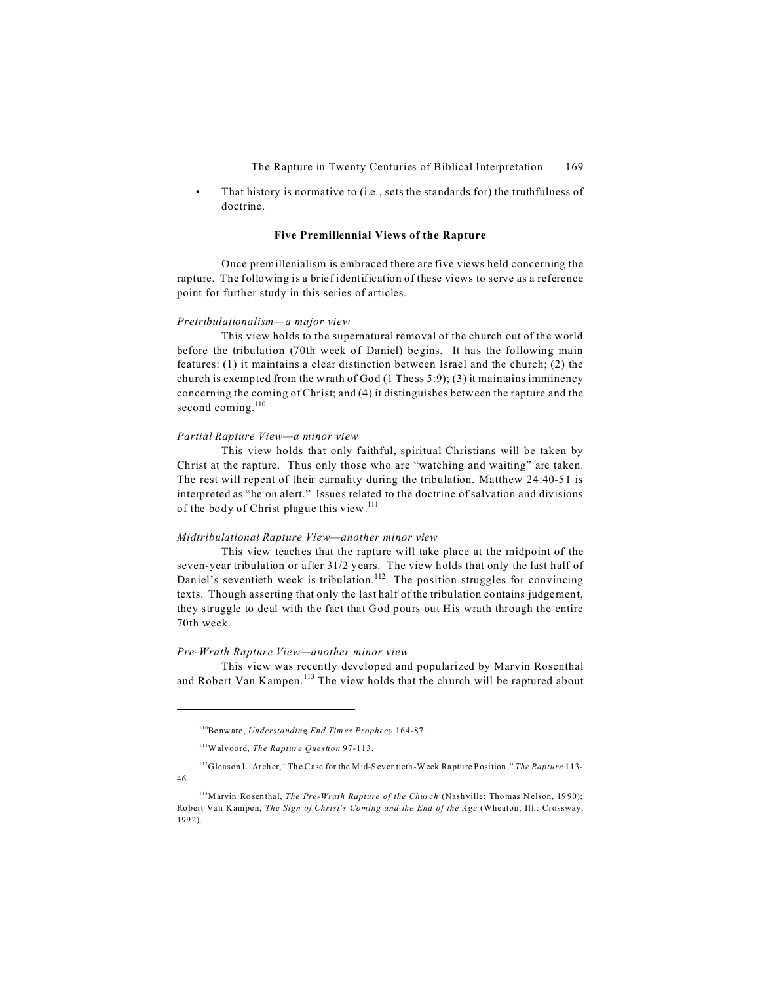That history is normative to (i.e., sets the standards for) the truthfulness of doctrine.

### **Five Premillennial Views of the Rapture**

Once premillenialism is embraced there are five views held concerning the rapture. The following is a brief identification of these views to serve as a reference point for further study in this series of articles.

### *Pretribulationalism—a major view*

This view holds to the supernatural removal of the church out of the world before the tribulation (70th week of Daniel) begins. It has the following main features: (1) it maintains a clear distinction between Israel and the church; (2) the church is exempted from the wrath of God  $(1$  Thess 5:9); (3) it maintains imminency concerning the coming of Christ; and (4) it distinguishes between the rapture and the second coming. $110$ 

### *Partial Rapture View—a minor view*

This view holds that only faithful, spiritual Christians will be taken by Christ at the rapture. Thus only those who are "watching and waiting" are taken. The rest will repent of their carnality during the tribulation. Matthew 24:40-51 is interpreted as "be on alert." Issues related to the doctrine of salvation and divisions of the body of Christ plague this view.<sup>111</sup>

### *Midtribulational Rapture View—another minor view*

This view teaches that the rapture will take place at the midpoint of the seven-year tribulation or after 31/2 years. The view holds that only the last half of Daniel's seventieth week is tribulation.<sup>112</sup> The position struggles for convincing texts. Though asserting that only the last half of the tribulation contains judgement, they struggle to deal with the fact that God pours out His wrath through the entire 70th week.

### *Pre-Wrath Rapture View—another minor view*

This view was recently developed and popularized by Marvin Rosenthal and Robert Van Kampen.<sup>113</sup> The view holds that the church will be raptured about

<sup>110</sup>Be nw are, *Understanding End Times Prophecy* 164-87.

<sup>111</sup>Walvoord, *The Rapture Question* 97-113.

<sup>112</sup>Gleason L. Ar cher, "Th e Case for the Mid-S eventieth -Week Ra ptu re Position ," *The Rapture* 113- 46.

<sup>&</sup>lt;sup>113</sup>Marvin Rosenthal, *The Pre-Wrath Rapture of the Church* (Nashville: Thomas Nelson, 1990); Robert Van Kampen, *The Sign of Christ's Coming and the End of the Age* (Wheaton, Ill.: Crossway, 199 2).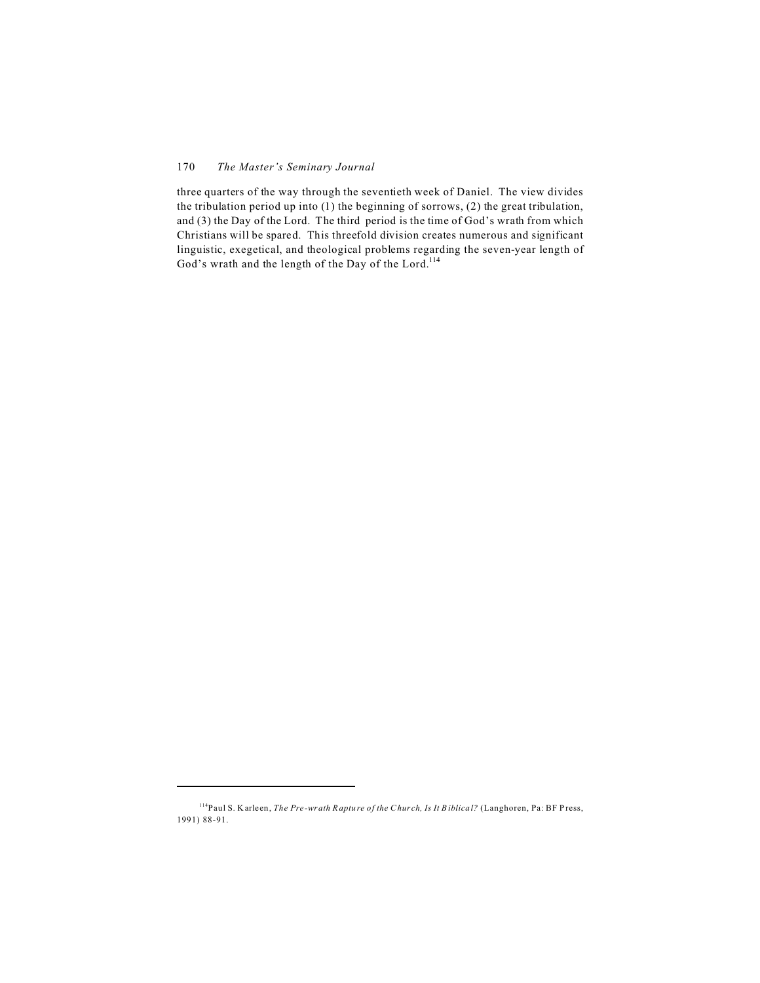three quarters of the way through the seventieth week of Daniel. The view divides the tribulation period up into (1) the beginning of sorrows, (2) the great tribulation, and (3) the Day of the Lord. The third period is the time of God's wrath from which Christians will be spared. This threefold division creates numerous and significant linguistic, exegetical, and theological problems regarding the seven-year length of God's wrath and the length of the Day of the Lord.<sup>114</sup>

<sup>114</sup>Paul S. K arle en, *The Pre -wrath R aptu re of the Chur ch, Is It B iblica l?* (Langhoren, Pa: BF P ress, 1991) 88-91.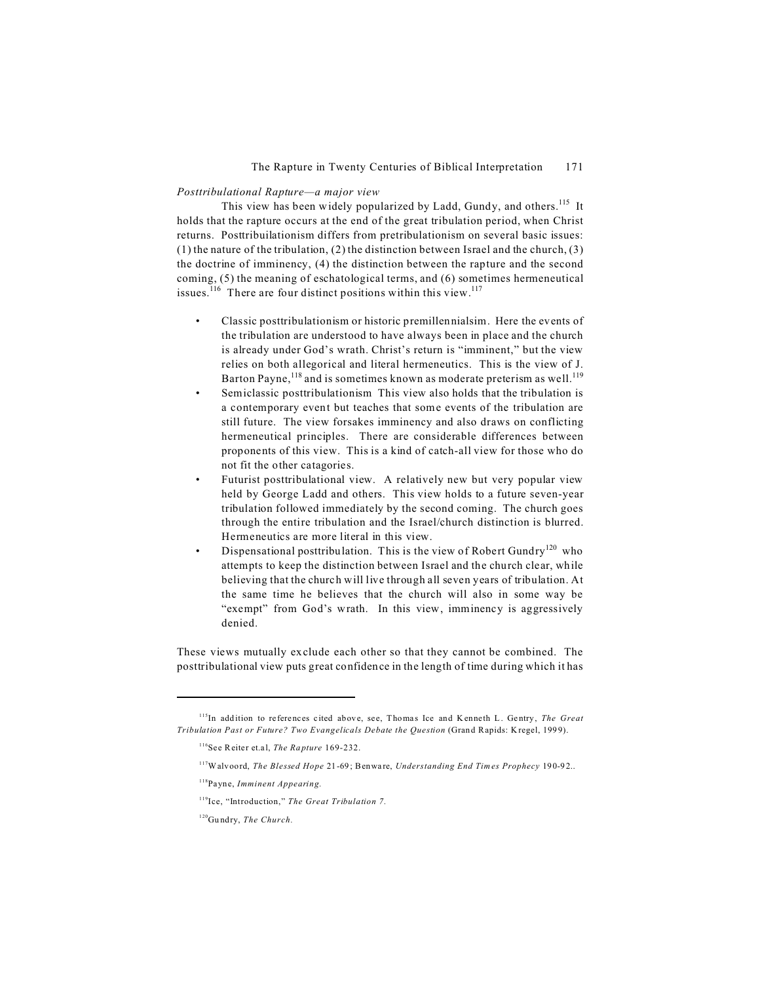### *Posttribulational Rapture—a major view*

This view has been widely popularized by Ladd, Gundy, and others.<sup>115</sup> It holds that the rapture occurs at the end of the great tribulation period, when Christ returns. Posttribuilationism differs from pretribulationism on several basic issues: (1) the nature of the tribulation, (2) the distinction between Israel and the church, (3) the doctrine of imminency, (4) the distinction between the rapture and the second coming, (5) the meaning of eschatological terms, and (6) sometimes hermeneutical issues.<sup>116</sup> There are four distinct positions within this view.<sup>117</sup>

- Classic posttribulationism or historic premillennialsim. Here the events of the tribulation are understood to have always been in place and the church is already under God's wrath. Christ's return is "imminent," but the view relies on both allegorical and literal hermeneutics. This is the view of J. Barton Payne,  $^{118}$  and is sometimes known as moderate preterism as well.<sup>119</sup>
- Semiclassic posttribulationism This view also holds that the tribulation is a contemporary event but teaches that some events of the tribulation are still future. The view forsakes imminency and also draws on conflicting hermeneutical principles. There are considerable differences between proponents of this view. This is a kind of catch-all view for those who do not fit the other catagories.
- Futurist posttribulational view. A relatively new but very popular view held by George Ladd and others. This view holds to a future seven-year tribulation followed immediately by the second coming. The church goes through the entire tribulation and the Israel/church distinction is blurred. Hermeneutics are more literal in this view.
- Dispensational posttribulation. This is the view of Robert Gundry<sup>120</sup> who attempts to keep the distinction between Israel and the church clear, while believing that the church will live through all seven years of tribulation. At the same time he believes that the church will also in some way be "exempt" from God's wrath. In this view, imminency is aggressively denied.

These views mutually exclude each other so that they cannot be combined. The posttribulational view puts great confidence in the length of time during which it has

<sup>&</sup>lt;sup>115</sup>In addition to references cited above, see, Thomas Ice and Kenneth L. Gentry, *The Great Tribulation Past or Future? Two Evangelicals Debate the Question* (Gran d Rapids: K regel, 199 9).

<sup>&</sup>lt;sup>116</sup>See Reiter et.al, *The Rapture* 169-232.

<sup>&</sup>lt;sup>117</sup>Walvoord, *The Blessed Hope* 21-69; Benware, *Understanding End Times Prophecy* 190-92..

<sup>118</sup>Payne, *Imminent Appearing.*

<sup>119</sup>Ice, "Introduction," *The Great Tribulation 7.*

<sup>120</sup>Gu ndry, *The Church.*